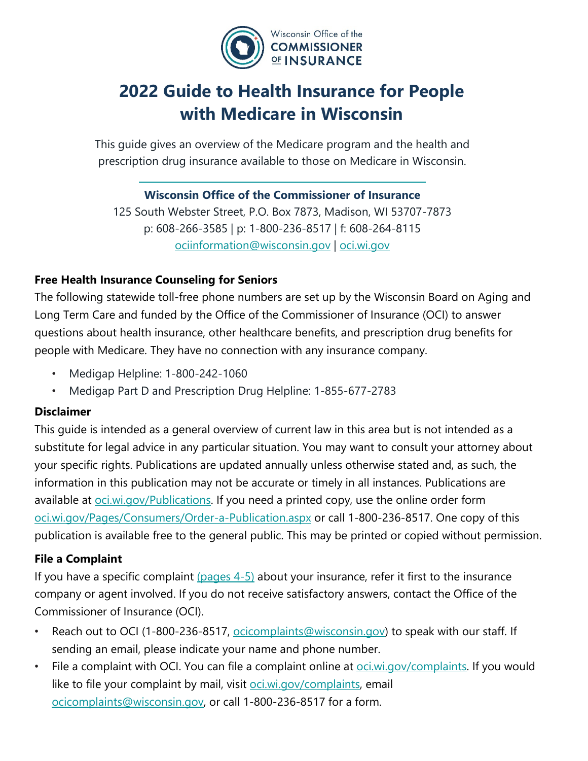

# **2022 Guide to Health Insurance for People with Medicare in Wisconsin**

This guide gives an overview of the Medicare program and the health and prescription drug insurance available to those on Medicare in Wisconsin.

# **Wisconsin Office of the Commissioner of Insurance**

125 South Webster Street, P.O. Box 7873, Madison, WI 53707-7873 p: 608-266-3585 | p: 1-800-236-8517 | f: 608-264-8115 ociinformation@wisconsin.gov | oci.wi.gov

## **Free Health Insurance Counseling for Seniors**

The following statewide toll-free phone numbers are set up by the Wisconsin Board on Aging and Long Term Care and funded by the Office of the Commissioner of Insurance (OCI) to answer questions about health insurance, other healthcare benefits, and prescription drug benefits for people with Medicare. They have no connection with any insurance company.

- Medigap Helpline: 1-800-242-1060
- Medigap Part D and Prescription Drug Helpline: 1-855-677-2783

## **Disclaimer**

This guide is intended as a general overview of current law in this area but is not intended as a substitute for legal advice in any particular situation. You may want to consult your attorney about your specific rights. Publications are updated annually unless otherwise stated and, as such, the information in this publication may not be accurate or timely in all instances. Publications are available at <u>oci.wi.gov/Publications</u>. If you need a printed copy, use the online order form oci.wi.gov/Pages/Consumers/Order-a-Publication.aspx or call 1-800-236-8517. One copy of this publication is available free to the general public. This may be printed or copied without permission.

## **File a Complaint**

If you have a specific complaint (pages  $4-5$ ) about your insurance, refer it first to the insurance company or agent involved. If you do not receive satisfactory answers, contact the Office of the Commissioner of Insurance (OCI).

- Reach out to OCI (1-800-236-8517, ocicomplaints@wisconsin.gov) to speak with our staff. If sending an email, please indicate your name and phone number.
- File a complaint with OCI. You can file a complaint online at <u>oci.wi.gov/complaints</u>. If you would like to file your complaint by mail, visit oci.wi.gov/complaints, email ocicomplaints@wisconsin.gov, or call 1-800-236-8517 for a form.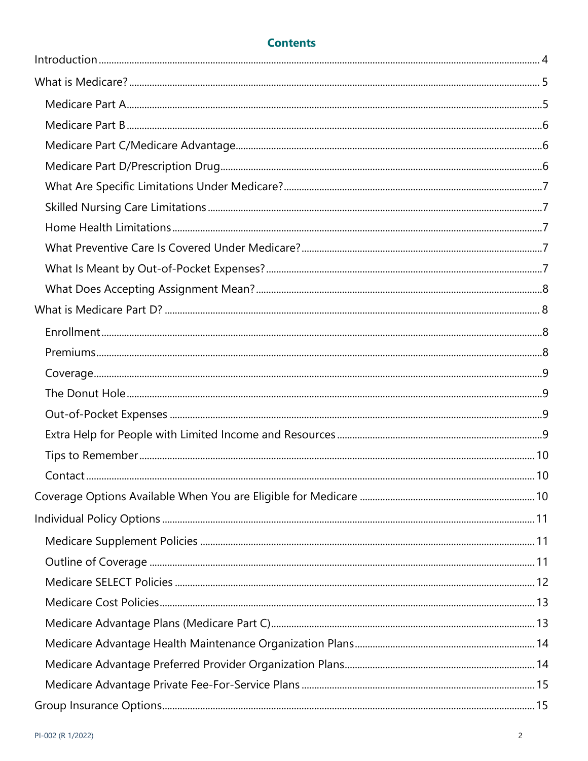# **Contents**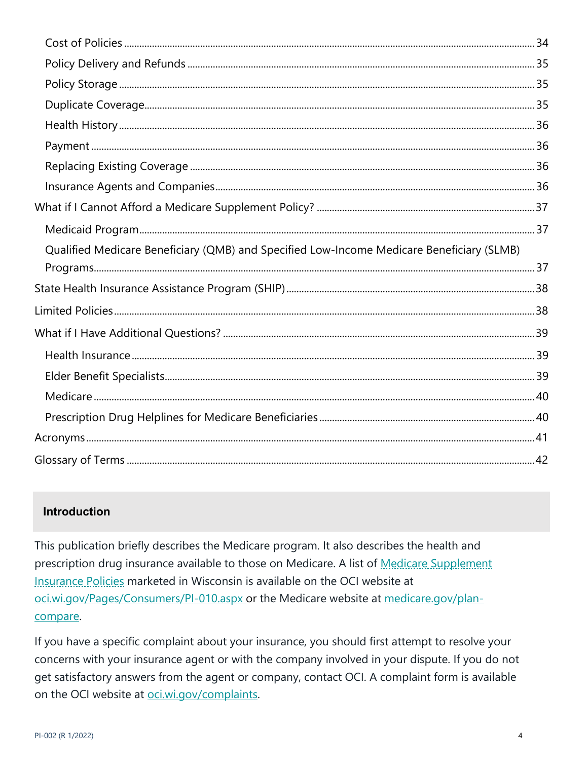| Qualified Medicare Beneficiary (QMB) and Specified Low-Income Medicare Beneficiary (SLMB) |  |
|-------------------------------------------------------------------------------------------|--|
|                                                                                           |  |
|                                                                                           |  |
|                                                                                           |  |
|                                                                                           |  |
|                                                                                           |  |
|                                                                                           |  |
|                                                                                           |  |
|                                                                                           |  |
|                                                                                           |  |

# **Introduction**

This publication briefly describes the Medicare program. It also describes the health and prescription drug insurance available to those on Medicare. A list of Medicare Supplement Insurance Policies marketed in Wisconsin is available on the OCI website at oci.wi.gov/Pages/Consumers/PI-010.aspx or the Medicare website at medicare.gov/plancompare.

If you have a specific complaint about your insurance, you should first attempt to resolve your concerns with your insurance agent or with the company involved in your dispute. If you do not get satisfactory answers from the agent or company, contact OCI. A complaint form is available on the OCI website at oci.wi.gov/complaints.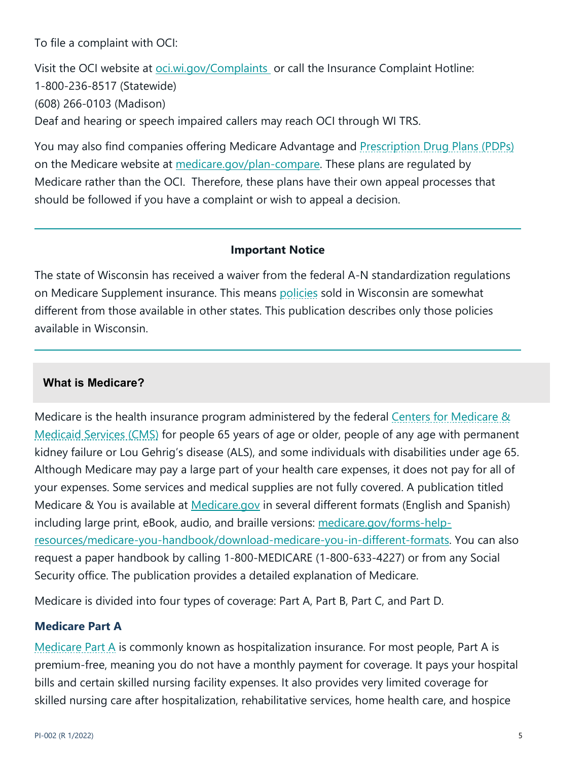To file a complaint with OCI:

Visit the OCI website at oci.wi.gov/Complaints or call the Insurance Complaint Hotline: 1-800-236-8517 (Statewide) (608) 266-0103 (Madison) Deaf and hearing or speech impaired callers may reach OCI through WI TRS.

You may also find companies offering Medicare Advantage and Prescription Drug Plans (PDPs) on the Medicare website at medicare.gov/plan-compare. These plans are regulated by Medicare rather than the OCI. Therefore, these plans have their own appeal processes that should be followed if you have a complaint or wish to appeal a decision.

#### **Important Notice**

The state of Wisconsin has received a waiver from the federal A-N standardization regulations on Medicare Supplement insurance. This means policies sold in Wisconsin are somewhat different from those available in other states. This publication describes only those policies available in Wisconsin.

#### **What is Medicare?**

Medicare is the health insurance program administered by the federal Centers for Medicare & Medicaid Services (CMS) for people 65 years of age or older, people of any age with permanent kidney failure or Lou Gehrig's disease (ALS), and some individuals with disabilities under age 65. Although Medicare may pay a large part of your health care expenses, it does not pay for all of your expenses. Some services and medical supplies are not fully covered. A publication titled Medicare & You is available at Medicare.gov in several different formats (English and Spanish) including large print, eBook, audio, and braille versions: medicare.gov/forms-helpresources/medicare-you-handbook/download-medicare-you-in-different-formats. You can also request a paper handbook by calling 1-800-MEDICARE (1-800-633-4227) or from any Social Security office. The publication provides a detailed explanation of Medicare.

Medicare is divided into four types of coverage: Part A, Part B, Part C, and Part D.

#### **Medicare Part A**

Medicare Part A is commonly known as hospitalization insurance. For most people, Part A is premium-free, meaning you do not have a monthly payment for coverage. It pays your hospital bills and certain skilled nursing facility expenses. It also provides very limited coverage for skilled nursing care after hospitalization, rehabilitative services, home health care, and hospice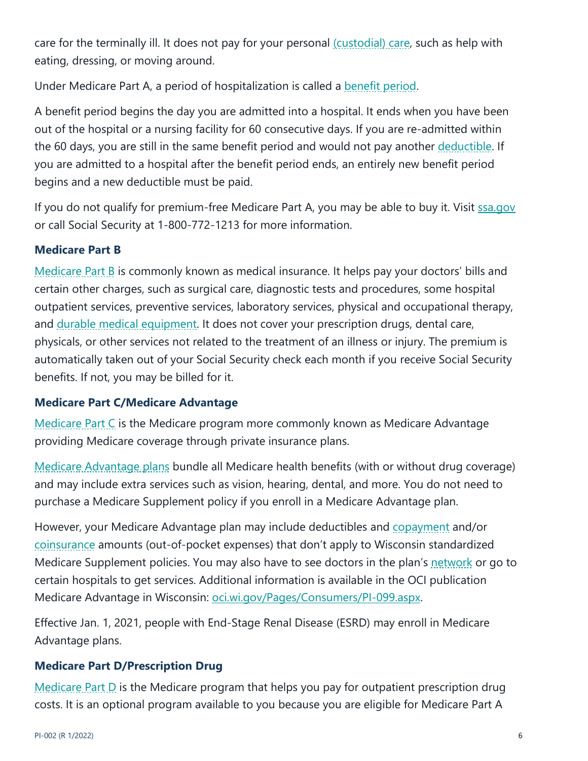care for the terminally ill. It does not pay for your personal (custodial) care, such as help with eating, dressing, or moving around.

Under Medicare Part A, a period of hospitalization is called a benefit period.

A benefit period begins the day you are admitted into a hospital. It ends when you have been out of the hospital or a nursing facility for 60 consecutive days. If you are re-admitted within the 60 days, you are still in the same benefit period and would not pay another deductible. If you are admitted to a hospital after the benefit period ends, an entirely new benefit period begins and a new deductible must be paid.

If you do not qualify for premium-free Medicare Part A, you may be able to buy it. Visit ssa.gov or call Social Security at 1-800-772-1213 for more information.

# **Medicare Part B**

Medicare Part B is commonly known as medical insurance. It helps pay your doctors' bills and certain other charges, such as surgical care, diagnostic tests and procedures, some hospital outpatient services, preventive services, laboratory services, physical and occupational therapy, and durable medical equipment. It does not cover your prescription drugs, dental care, physicals, or other services not related to the treatment of an illness or injury. The premium is automatically taken out of your Social Security check each month if you receive Social Security benefits. If not, you may be billed for it.

# **Medicare Part C/Medicare Advantage**

Medicare Part C is the Medicare program more commonly known as Medicare Advantage providing Medicare coverage through private insurance plans.

Medicare Advantage plans bundle all Medicare health benefits (with or without drug coverage) and may include extra services such as vision, hearing, dental, and more. You do not need to purchase a Medicare Supplement policy if you enroll in a Medicare Advantage plan.

However, your Medicare Advantage plan may include deductibles and copayment and/or coinsurance amounts (out-of-pocket expenses) that don't apply to Wisconsin standardized Medicare Supplement policies. You may also have to see doctors in the plan's network or go to certain hospitals to get services. Additional information is available in the OCI publication Medicare Advantage in Wisconsin: oci.wi.gov/Pages/Consumers/PI-099.aspx.

Effective Jan. 1, 2021, people with End-Stage Renal Disease (ESRD) may enroll in Medicare Advantage plans.

# **Medicare Part D/Prescription Drug**

Medicare Part D is the Medicare program that helps you pay for outpatient prescription drug costs. It is an optional program available to you because you are eligible for Medicare Part A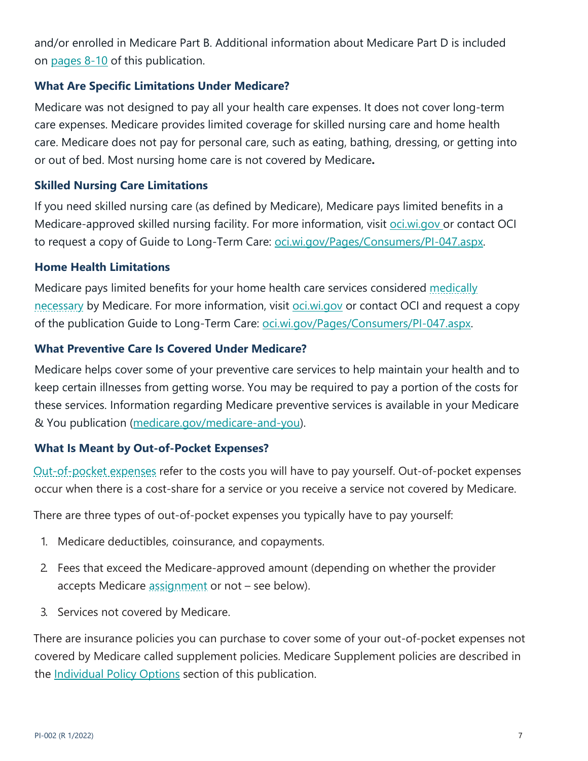and/or enrolled in Medicare Part B. Additional information about Medicare Part D is included on pages 8-10 of this publication.

#### **What Are Specific Limitations Under Medicare?**

Medicare was not designed to pay all your health care expenses. It does not cover long-term care expenses. Medicare provides limited coverage for skilled nursing care and home health care. Medicare does not pay for personal care, such as eating, bathing, dressing, or getting into or out of bed. Most nursing home care is not covered by Medicare**.**

#### **Skilled Nursing Care Limitations**

If you need skilled nursing care (as defined by Medicare), Medicare pays limited benefits in a Medicare-approved skilled nursing facility. For more information, visit oci.wi.gov or contact OCI to request a copy of Guide to Long-Term Care: oci.wi.gov/Pages/Consumers/PI-047.aspx.

#### **Home Health Limitations**

Medicare pays limited benefits for your home health care services considered medically necessary by Medicare. For more information, visit oci.wi.gov or contact OCI and request a copy of the publication Guide to Long-Term Care: oci.wi.gov/Pages/Consumers/PI-047.aspx.

#### **What Preventive Care Is Covered Under Medicare?**

Medicare helps cover some of your preventive care services to help maintain your health and to keep certain illnesses from getting worse. You may be required to pay a portion of the costs for these services. Information regarding Medicare preventive services is available in your Medicare & You publication (medicare.gov/medicare-and-you).

#### **What Is Meant by Out-of-Pocket Expenses?**

Out-of-pocket expenses refer to the costs you will have to pay yourself. Out-of-pocket expenses occur when there is a cost-share for a service or you receive a service not covered by Medicare.

There are three types of out-of-pocket expenses you typically have to pay yourself:

- 1. Medicare deductibles, coinsurance, and copayments.
- 2. Fees that exceed the Medicare-approved amount (depending on whether the provider accepts Medicare assignment or not – see below).
- 3. Services not covered by Medicare.

There are insurance policies you can purchase to cover some of your out-of-pocket expenses not covered by Medicare called supplement policies. Medicare Supplement policies are described in the Individual Policy Options section of this publication.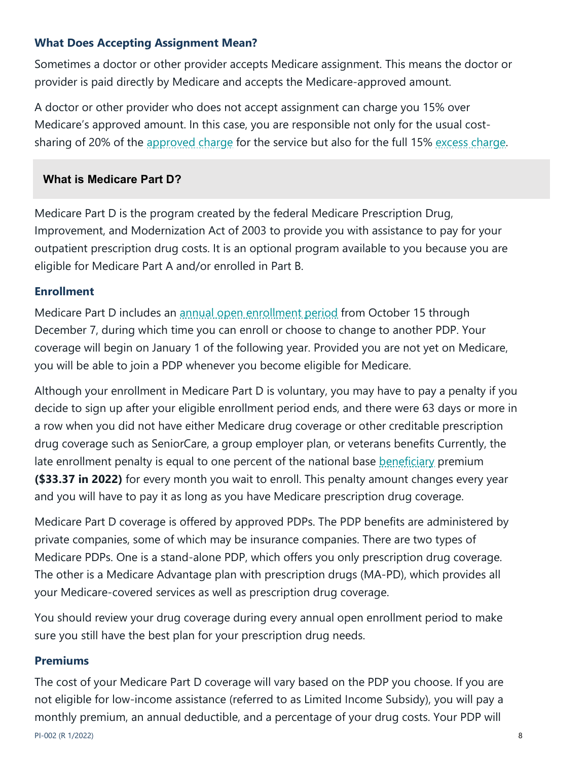## **What Does Accepting Assignment Mean?**

Sometimes a doctor or other provider accepts Medicare assignment. This means the doctor or provider is paid directly by Medicare and accepts the Medicare-approved amount.

A doctor or other provider who does not accept assignment can charge you 15% over Medicare's approved amount. In this case, you are responsible not only for the usual costsharing of 20% of the approved charge for the service but also for the full 15% excess charge.

## **What is Medicare Part D?**

Medicare Part D is the program created by the federal Medicare Prescription Drug, Improvement, and Modernization Act of 2003 to provide you with assistance to pay for your outpatient prescription drug costs. It is an optional program available to you because you are eligible for Medicare Part A and/or enrolled in Part B.

## **Enrollment**

Medicare Part D includes an annual open enrollment period from October 15 through December 7, during which time you can enroll or choose to change to another PDP. Your coverage will begin on January 1 of the following year. Provided you are not yet on Medicare, you will be able to join a PDP whenever you become eligible for Medicare.

Although your enrollment in Medicare Part D is voluntary, you may have to pay a penalty if you decide to sign up after your eligible enrollment period ends, and there were 63 days or more in a row when you did not have either Medicare drug coverage or other creditable prescription drug coverage such as SeniorCare, a group employer plan, or veterans benefits Currently, the late enrollment penalty is equal to one percent of the national base beneficiary premium **(\$33.37 in 2022)** for every month you wait to enroll. This penalty amount changes every year and you will have to pay it as long as you have Medicare prescription drug coverage.

Medicare Part D coverage is offered by approved PDPs. The PDP benefits are administered by private companies, some of which may be insurance companies. There are two types of Medicare PDPs. One is a stand-alone PDP, which offers you only prescription drug coverage. The other is a Medicare Advantage plan with prescription drugs (MA-PD), which provides all your Medicare-covered services as well as prescription drug coverage.

You should review your drug coverage during every annual open enrollment period to make sure you still have the best plan for your prescription drug needs.

# **Premiums**

PI-002 (R 1/2022) 8 The cost of your Medicare Part D coverage will vary based on the PDP you choose. If you are not eligible for low-income assistance (referred to as Limited Income Subsidy), you will pay a monthly premium, an annual deductible, and a percentage of your drug costs. Your PDP will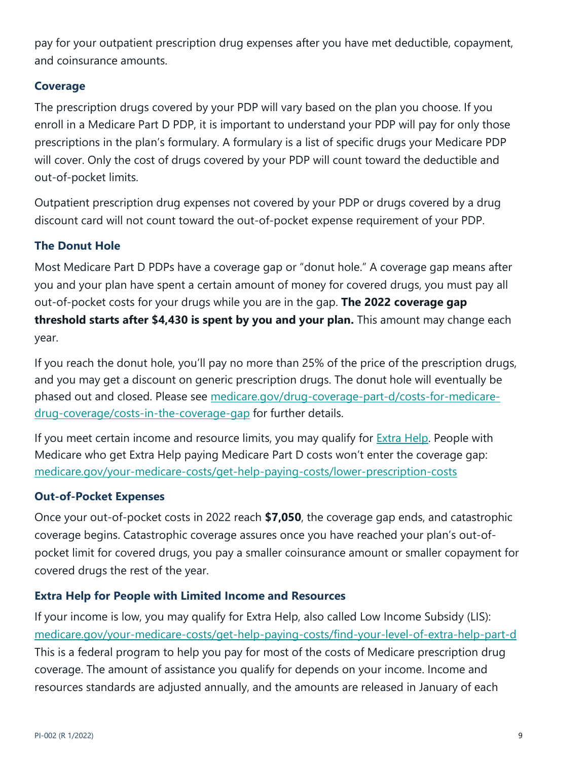pay for your outpatient prescription drug expenses after you have met deductible, copayment, and coinsurance amounts.

## **Coverage**

The prescription drugs covered by your PDP will vary based on the plan you choose. If you enroll in a Medicare Part D PDP, it is important to understand your PDP will pay for only those prescriptions in the plan's formulary. A formulary is a list of specific drugs your Medicare PDP will cover. Only the cost of drugs covered by your PDP will count toward the deductible and out-of-pocket limits.

Outpatient prescription drug expenses not covered by your PDP or drugs covered by a drug discount card will not count toward the out-of-pocket expense requirement of your PDP.

# **The Donut Hole**

Most Medicare Part D PDPs have a coverage gap or "donut hole." A coverage gap means after you and your plan have spent a certain amount of money for covered drugs, you must pay all out-of-pocket costs for your drugs while you are in the gap. **The 2022 coverage gap threshold starts after \$4,430 is spent by you and your plan.** This amount may change each year.

If you reach the donut hole, you'll pay no more than 25% of the price of the prescription drugs, and you may get a discount on generic prescription drugs. The donut hole will eventually be phased out and closed. Please see medicare.gov/drug-coverage-part-d/costs-for-medicaredrug-coverage/costs-in-the-coverage-gap for further details.

If you meet certain income and resource limits, you may qualify for Extra Help. People with Medicare who get Extra Help paying Medicare Part D costs won't enter the coverage gap: medicare.gov/your-medicare-costs/get-help-paying-costs/lower-prescription-costs

## **Out-of-Pocket Expenses**

Once your out-of-pocket costs in 2022 reach **\$7,050**, the coverage gap ends, and catastrophic coverage begins. Catastrophic coverage assures once you have reached your plan's out-ofpocket limit for covered drugs, you pay a smaller coinsurance amount or smaller copayment for covered drugs the rest of the year.

## **Extra Help for People with Limited Income and Resources**

If your income is low, you may qualify for Extra Help, also called Low Income Subsidy (LIS): medicare.gov/your-medicare-costs/get-help-paying-costs/find-your-level-of-extra-help-part-d This is a federal program to help you pay for most of the costs of Medicare prescription drug coverage. The amount of assistance you qualify for depends on your income. Income and resources standards are adjusted annually, and the amounts are released in January of each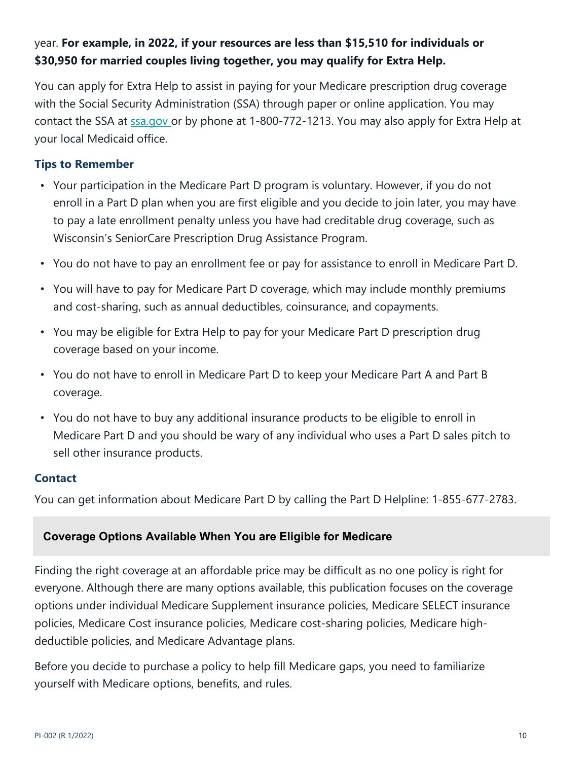# year. **For example, in 2022, if your resources are less than \$15,510 for individuals or \$30,950 for married couples living together, you may qualify for Extra Help.**

You can apply for Extra Help to assist in paying for your Medicare prescription drug coverage with the Social Security Administration (SSA) through paper or online application. You may contact the SSA at ssa.gov or by phone at 1-800-772-1213. You may also apply for Extra Help at your local Medicaid office.

## **Tips to Remember**

- Your participation in the Medicare Part D program is voluntary. However, if you do not enroll in a Part D plan when you are first eligible and you decide to join later, you may have to pay a late enrollment penalty unless you have had creditable drug coverage, such as Wisconsin's SeniorCare Prescription Drug Assistance Program.
- You do not have to pay an enrollment fee or pay for assistance to enroll in Medicare Part D.
- You will have to pay for Medicare Part D coverage, which may include monthly premiums and cost-sharing, such as annual deductibles, coinsurance, and copayments.
- You may be eligible for Extra Help to pay for your Medicare Part D prescription drug coverage based on your income.
- You do not have to enroll in Medicare Part D to keep your Medicare Part A and Part B coverage.
- You do not have to buy any additional insurance products to be eligible to enroll in Medicare Part D and you should be wary of any individual who uses a Part D sales pitch to sell other insurance products.

## **Contact**

You can get information about Medicare Part D by calling the Part D Helpline: 1-855-677-2783.

# **Coverage Options Available When You are Eligible for Medicare**

Finding the right coverage at an affordable price may be difficult as no one policy is right for everyone. Although there are many options available, this publication focuses on the coverage options under individual Medicare Supplement insurance policies, Medicare SELECT insurance policies, Medicare Cost insurance policies, Medicare cost-sharing policies, Medicare highdeductible policies, and Medicare Advantage plans.

Before you decide to purchase a policy to help fill Medicare gaps, you need to familiarize yourself with Medicare options, benefits, and rules.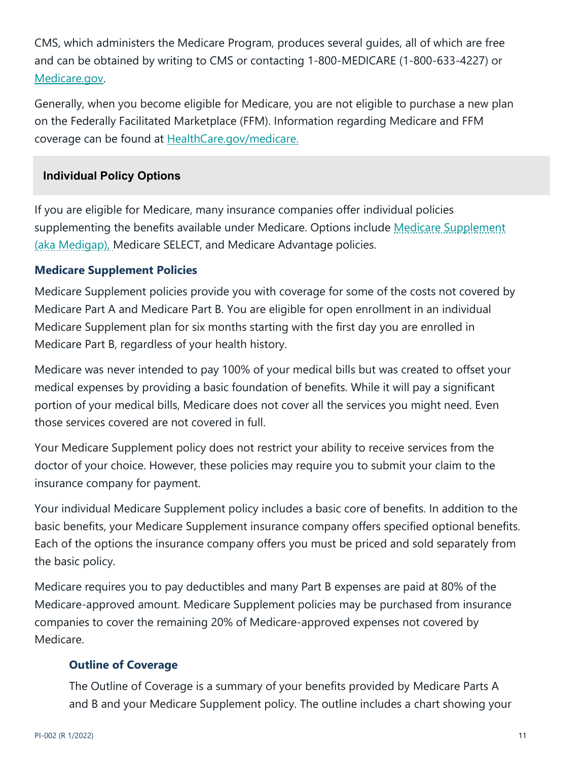CMS, which administers the Medicare Program, produces several guides, all of which are free and can be obtained by writing to CMS or contacting 1-800-MEDICARE (1-800-633-4227) or Medicare.gov.

Generally, when you become eligible for Medicare, you are not eligible to purchase a new plan on the Federally Facilitated Marketplace (FFM). Information regarding Medicare and FFM coverage can be found at HealthCare.gov/medicare.

## **Individual Policy Options**

If you are eligible for Medicare, many insurance companies offer individual policies supplementing the benefits available under Medicare. Options include Medicare Supplement (aka Medigap), Medicare SELECT, and Medicare Advantage policies.

## **Medicare Supplement Policies**

Medicare Supplement policies provide you with coverage for some of the costs not covered by Medicare Part A and Medicare Part B. You are eligible for open enrollment in an individual Medicare Supplement plan for six months starting with the first day you are enrolled in Medicare Part B, regardless of your health history.

Medicare was never intended to pay 100% of your medical bills but was created to offset your medical expenses by providing a basic foundation of benefits. While it will pay a significant portion of your medical bills, Medicare does not cover all the services you might need. Even those services covered are not covered in full.

Your Medicare Supplement policy does not restrict your ability to receive services from the doctor of your choice. However, these policies may require you to submit your claim to the insurance company for payment.

Your individual Medicare Supplement policy includes a basic core of benefits. In addition to the basic benefits, your Medicare Supplement insurance company offers specified optional benefits. Each of the options the insurance company offers you must be priced and sold separately from the basic policy.

Medicare requires you to pay deductibles and many Part B expenses are paid at 80% of the Medicare-approved amount. Medicare Supplement policies may be purchased from insurance companies to cover the remaining 20% of Medicare-approved expenses not covered by Medicare.

# **Outline of Coverage**

The Outline of Coverage is a summary of your benefits provided by Medicare Parts A and B and your Medicare Supplement policy. The outline includes a chart showing your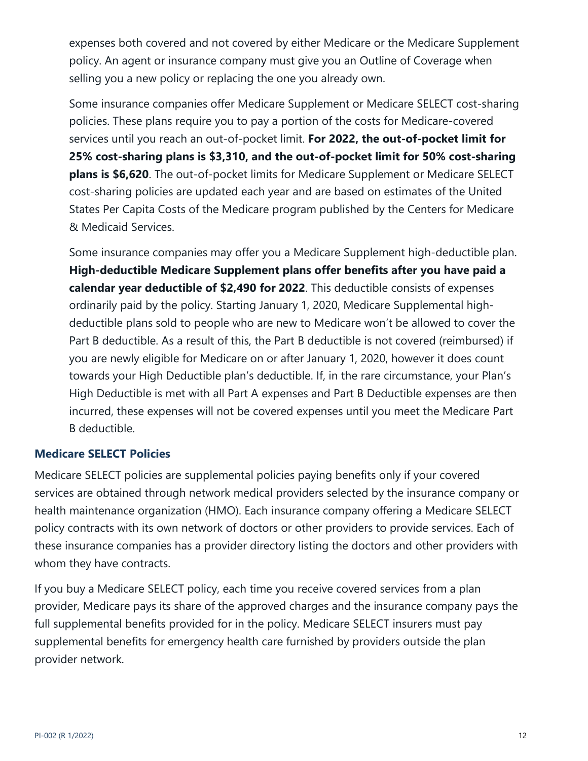expenses both covered and not covered by either Medicare or the Medicare Supplement policy. An agent or insurance company must give you an Outline of Coverage when selling you a new policy or replacing the one you already own.

Some insurance companies offer Medicare Supplement or Medicare SELECT cost-sharing policies. These plans require you to pay a portion of the costs for Medicare-covered services until you reach an out-of-pocket limit. **For 2022, the out-of-pocket limit for 25% cost-sharing plans is \$3,310, and the out-of-pocket limit for 50% cost-sharing plans is \$6,620**. The out-of-pocket limits for Medicare Supplement or Medicare SELECT cost-sharing policies are updated each year and are based on estimates of the United States Per Capita Costs of the Medicare program published by the Centers for Medicare & Medicaid Services.

Some insurance companies may offer you a Medicare Supplement high-deductible plan. **High-deductible Medicare Supplement plans offer benefits after you have paid a calendar year deductible of \$2,490 for 2022**. This deductible consists of expenses ordinarily paid by the policy. Starting January 1, 2020, Medicare Supplemental highdeductible plans sold to people who are new to Medicare won't be allowed to cover the Part B deductible. As a result of this, the Part B deductible is not covered (reimbursed) if you are newly eligible for Medicare on or after January 1, 2020, however it does count towards your High Deductible plan's deductible. If, in the rare circumstance, your Plan's High Deductible is met with all Part A expenses and Part B Deductible expenses are then incurred, these expenses will not be covered expenses until you meet the Medicare Part B deductible.

## **Medicare SELECT Policies**

Medicare SELECT policies are supplemental policies paying benefits only if your covered services are obtained through network medical providers selected by the insurance company or health maintenance organization (HMO). Each insurance company offering a Medicare SELECT policy contracts with its own network of doctors or other providers to provide services. Each of these insurance companies has a provider directory listing the doctors and other providers with whom they have contracts.

If you buy a Medicare SELECT policy, each time you receive covered services from a plan provider, Medicare pays its share of the approved charges and the insurance company pays the full supplemental benefits provided for in the policy. Medicare SELECT insurers must pay supplemental benefits for emergency health care furnished by providers outside the plan provider network.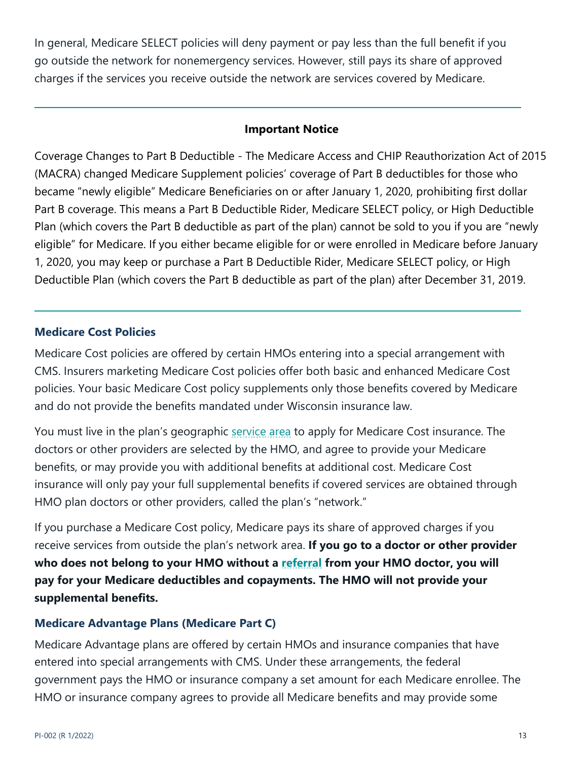In general, Medicare SELECT policies will deny payment or pay less than the full benefit if you go outside the network for nonemergency services. However, still pays its share of approved charges if the services you receive outside the network are services covered by Medicare.

#### **Important Notice**

Coverage Changes to Part B Deductible - The Medicare Access and CHIP Reauthorization Act of 2015 (MACRA) changed Medicare Supplement policies' coverage of Part B deductibles for those who became "newly eligible" Medicare Beneficiaries on or after January 1, 2020, prohibiting first dollar Part B coverage. This means a Part B Deductible Rider, Medicare SELECT policy, or High Deductible Plan (which covers the Part B deductible as part of the plan) cannot be sold to you if you are "newly eligible" for Medicare. If you either became eligible for or were enrolled in Medicare before January 1, 2020, you may keep or purchase a Part B Deductible Rider, Medicare SELECT policy, or High Deductible Plan (which covers the Part B deductible as part of the plan) after December 31, 2019.

## **Medicare Cost Policies**

Medicare Cost policies are offered by certain HMOs entering into a special arrangement with CMS. Insurers marketing Medicare Cost policies offer both basic and enhanced Medicare Cost policies. Your basic Medicare Cost policy supplements only those benefits covered by Medicare and do not provide the benefits mandated under Wisconsin insurance law.

You must live in the plan's geographic service area to apply for Medicare Cost insurance. The doctors or other providers are selected by the HMO, and agree to provide your Medicare benefits, or may provide you with additional benefits at additional cost. Medicare Cost insurance will only pay your full supplemental benefits if covered services are obtained through HMO plan doctors or other providers, called the plan's "network."

If you purchase a Medicare Cost policy, Medicare pays its share of approved charges if you receive services from outside the plan's network area. **If you go to a doctor or other provider who does not belong to your HMO without a referral from your HMO doctor, you will pay for your Medicare deductibles and copayments. The HMO will not provide your supplemental benefits.**

## **Medicare Advantage Plans (Medicare Part C)**

Medicare Advantage plans are offered by certain HMOs and insurance companies that have entered into special arrangements with CMS. Under these arrangements, the federal government pays the HMO or insurance company a set amount for each Medicare enrollee. The HMO or insurance company agrees to provide all Medicare benefits and may provide some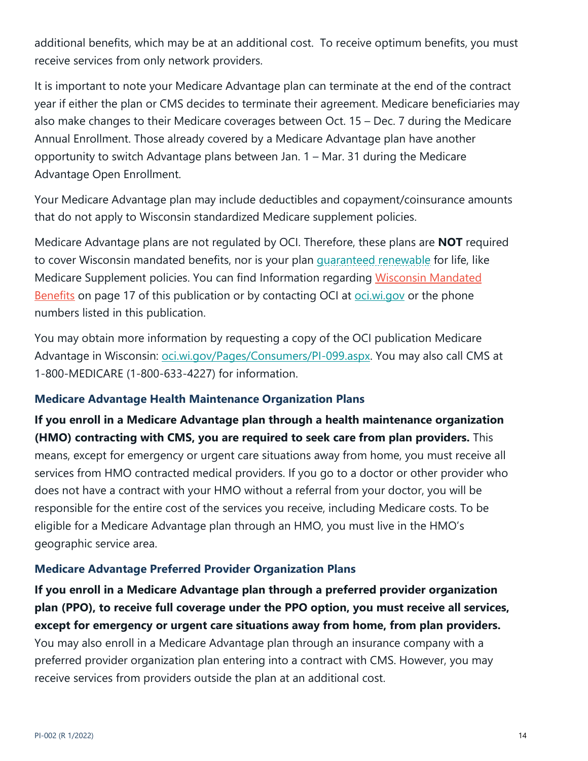additional benefits, which may be at an additional cost. To receive optimum benefits, you must receive services from only network providers.

It is important to note your Medicare Advantage plan can terminate at the end of the contract year if either the plan or CMS decides to terminate their agreement. Medicare beneficiaries may also make changes to their Medicare coverages between Oct. 15 – Dec. 7 during the Medicare Annual Enrollment. Those already covered by a Medicare Advantage plan have another opportunity to switch Advantage plans between Jan. 1 – Mar. 31 during the Medicare Advantage Open Enrollment.

Your Medicare Advantage plan may include deductibles and copayment/coinsurance amounts that do not apply to Wisconsin standardized Medicare supplement policies.

Medicare Advantage plans are not regulated by OCI. Therefore, these plans are **NOT** required to cover Wisconsin mandated benefits, nor is your plan guaranteed renewable for life, like Medicare Supplement policies. You can find Information regarding Wisconsin Mandated Benefits on page 17 of this publication or by contacting OCI at oci.wi.gov or the phone numbers listed in this publication.

You may obtain more information by requesting a copy of the OCI publication Medicare Advantage in Wisconsin: oci.wi.gov/Pages/Consumers/PI-099.aspx. You may also call CMS at 1-800-MEDICARE (1-800-633-4227) for information.

## **Medicare Advantage Health Maintenance Organization Plans**

**If you enroll in a Medicare Advantage plan through a health maintenance organization (HMO) contracting with CMS, you are required to seek care from plan providers.** This means, except for emergency or urgent care situations away from home, you must receive all services from HMO contracted medical providers. If you go to a doctor or other provider who does not have a contract with your HMO without a referral from your doctor, you will be responsible for the entire cost of the services you receive, including Medicare costs. To be eligible for a Medicare Advantage plan through an HMO, you must live in the HMO's geographic service area.

## **Medicare Advantage Preferred Provider Organization Plans**

**If you enroll in a Medicare Advantage plan through a preferred provider organization plan (PPO), to receive full coverage under the PPO option, you must receive all services, except for emergency or urgent care situations away from home, from plan providers.** 

You may also enroll in a Medicare Advantage plan through an insurance company with a preferred provider organization plan entering into a contract with CMS. However, you may receive services from providers outside the plan at an additional cost.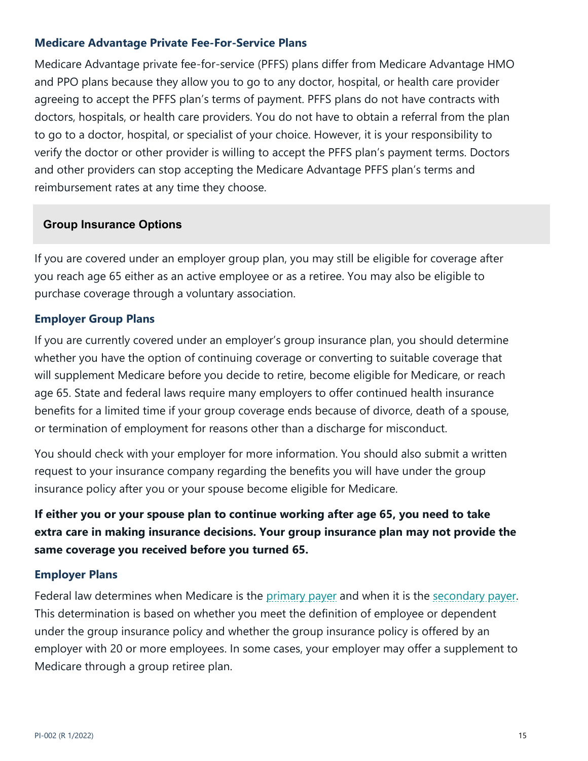## **Medicare Advantage Private Fee-For-Service Plans**

Medicare Advantage private fee-for-service (PFFS) plans differ from Medicare Advantage HMO and PPO plans because they allow you to go to any doctor, hospital, or health care provider agreeing to accept the PFFS plan's terms of payment. PFFS plans do not have contracts with doctors, hospitals, or health care providers. You do not have to obtain a referral from the plan to go to a doctor, hospital, or specialist of your choice. However, it is your responsibility to verify the doctor or other provider is willing to accept the PFFS plan's payment terms. Doctors and other providers can stop accepting the Medicare Advantage PFFS plan's terms and reimbursement rates at any time they choose.

#### **Group Insurance Options**

If you are covered under an employer group plan, you may still be eligible for coverage after you reach age 65 either as an active employee or as a retiree. You may also be eligible to purchase coverage through a voluntary association.

#### **Employer Group Plans**

If you are currently covered under an employer's group insurance plan, you should determine whether you have the option of continuing coverage or converting to suitable coverage that will supplement Medicare before you decide to retire, become eligible for Medicare, or reach age 65. State and federal laws require many employers to offer continued health insurance benefits for a limited time if your group coverage ends because of divorce, death of a spouse, or termination of employment for reasons other than a discharge for misconduct.

You should check with your employer for more information. You should also submit a written request to your insurance company regarding the benefits you will have under the group insurance policy after you or your spouse become eligible for Medicare.

**If either you or your spouse plan to continue working after age 65, you need to take extra care in making insurance decisions. Your group insurance plan may not provide the same coverage you received before you turned 65.** 

#### **Employer Plans**

Federal law determines when Medicare is the primary payer and when it is the secondary payer. This determination is based on whether you meet the definition of employee or dependent under the group insurance policy and whether the group insurance policy is offered by an employer with 20 or more employees. In some cases, your employer may offer a supplement to Medicare through a group retiree plan.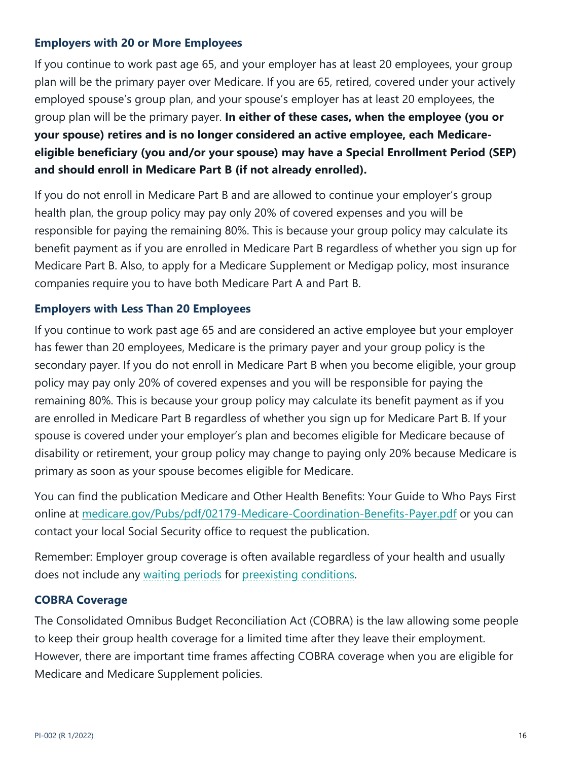## **Employers with 20 or More Employees**

If you continue to work past age 65, and your employer has at least 20 employees, your group plan will be the primary payer over Medicare. If you are 65, retired, covered under your actively employed spouse's group plan, and your spouse's employer has at least 20 employees, the group plan will be the primary payer. **In either of these cases, when the employee (you or your spouse) retires and is no longer considered an active employee, each Medicareeligible beneficiary (you and/or your spouse) may have a Special Enrollment Period (SEP) and should enroll in Medicare Part B (if not already enrolled).**

If you do not enroll in Medicare Part B and are allowed to continue your employer's group health plan, the group policy may pay only 20% of covered expenses and you will be responsible for paying the remaining 80%. This is because your group policy may calculate its benefit payment as if you are enrolled in Medicare Part B regardless of whether you sign up for Medicare Part B. Also, to apply for a Medicare Supplement or Medigap policy, most insurance companies require you to have both Medicare Part A and Part B.

#### **Employers with Less Than 20 Employees**

If you continue to work past age 65 and are considered an active employee but your employer has fewer than 20 employees, Medicare is the primary payer and your group policy is the secondary payer. If you do not enroll in Medicare Part B when you become eligible, your group policy may pay only 20% of covered expenses and you will be responsible for paying the remaining 80%. This is because your group policy may calculate its benefit payment as if you are enrolled in Medicare Part B regardless of whether you sign up for Medicare Part B. If your spouse is covered under your employer's plan and becomes eligible for Medicare because of disability or retirement, your group policy may change to paying only 20% because Medicare is primary as soon as your spouse becomes eligible for Medicare.

You can find the publication Medicare and Other Health Benefits: Your Guide to Who Pays First online at medicare.gov/Pubs/pdf/02179-Medicare-Coordination-Benefits-Payer.pdf or you can contact your local Social Security office to request the publication.

Remember: Employer group coverage is often available regardless of your health and usually does not include any waiting periods for preexisting conditions.

#### **COBRA Coverage**

The Consolidated Omnibus Budget Reconciliation Act (COBRA) is the law allowing some people to keep their group health coverage for a limited time after they leave their employment. However, there are important time frames affecting COBRA coverage when you are eligible for Medicare and Medicare Supplement policies.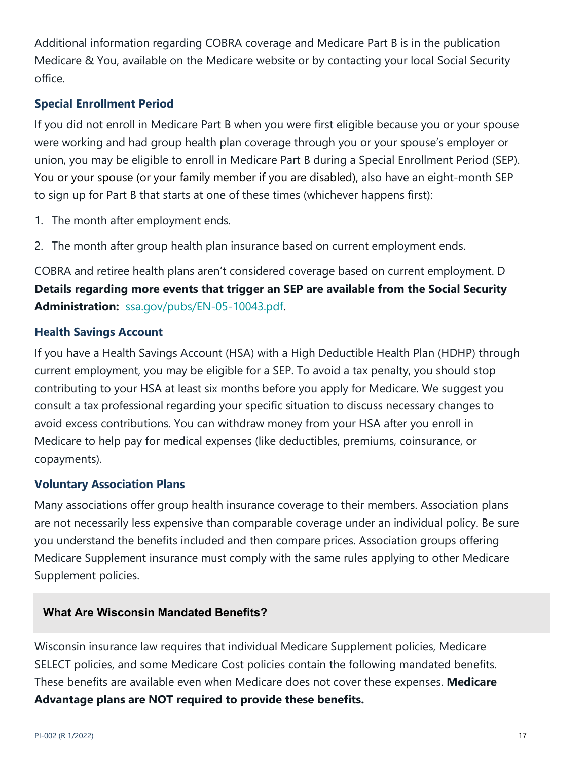Additional information regarding COBRA coverage and Medicare Part B is in the publication Medicare & You, available on the Medicare website or by contacting your local Social Security office.

# **Special Enrollment Period**

If you did not enroll in Medicare Part B when you were first eligible because you or your spouse were working and had group health plan coverage through you or your spouse's employer or union, you may be eligible to enroll in Medicare Part B during a Special Enrollment Period (SEP). You or your spouse (or your family member if you are disabled), also have an eight-month SEP to sign up for Part B that starts at one of these times (whichever happens first):

- 1. The month after employment ends.
- 2. The month after group health plan insurance based on current employment ends.

COBRA and retiree health plans aren't considered coverage based on current employment. D **Details regarding more events that trigger an SEP are available from the Social Security Administration:** ssa.gov/pubs/EN-05-10043.pdf.

## **Health Savings Account**

If you have a Health Savings Account (HSA) with a High Deductible Health Plan (HDHP) through current employment, you may be eligible for a SEP. To avoid a tax penalty, you should stop contributing to your HSA at least six months before you apply for Medicare. We suggest you consult a tax professional regarding your specific situation to discuss necessary changes to avoid excess contributions. You can withdraw money from your HSA after you enroll in Medicare to help pay for medical expenses (like deductibles, premiums, coinsurance, or copayments).

## **Voluntary Association Plans**

Many associations offer group health insurance coverage to their members. Association plans are not necessarily less expensive than comparable coverage under an individual policy. Be sure you understand the benefits included and then compare prices. Association groups offering Medicare Supplement insurance must comply with the same rules applying to other Medicare Supplement policies.

## **What Are Wisconsin Mandated Benefits?**

Wisconsin insurance law requires that individual Medicare Supplement policies, Medicare SELECT policies, and some Medicare Cost policies contain the following mandated benefits. These benefits are available even when Medicare does not cover these expenses. **Medicare Advantage plans are NOT required to provide these benefits.**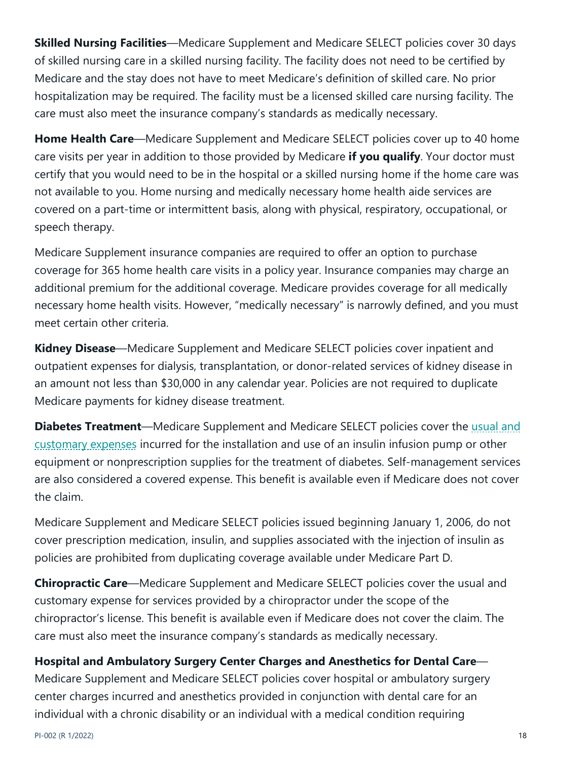**Skilled Nursing Facilities**—Medicare Supplement and Medicare SELECT policies cover 30 days of skilled nursing care in a skilled nursing facility. The facility does not need to be certified by Medicare and the stay does not have to meet Medicare's definition of skilled care. No prior hospitalization may be required. The facility must be a licensed skilled care nursing facility. The care must also meet the insurance company's standards as medically necessary.

**Home Health Care**—Medicare Supplement and Medicare SELECT policies cover up to 40 home care visits per year in addition to those provided by Medicare **if you qualify**. Your doctor must certify that you would need to be in the hospital or a skilled nursing home if the home care was not available to you. Home nursing and medically necessary home health aide services are covered on a part-time or intermittent basis, along with physical, respiratory, occupational, or speech therapy.

Medicare Supplement insurance companies are required to offer an option to purchase coverage for 365 home health care visits in a policy year. Insurance companies may charge an additional premium for the additional coverage. Medicare provides coverage for all medically necessary home health visits. However, "medically necessary" is narrowly defined, and you must meet certain other criteria.

**Kidney Disease**—Medicare Supplement and Medicare SELECT policies cover inpatient and outpatient expenses for dialysis, transplantation, or donor-related services of kidney disease in an amount not less than \$30,000 in any calendar year. Policies are not required to duplicate Medicare payments for kidney disease treatment.

**Diabetes Treatment**—Medicare Supplement and Medicare SELECT policies cover the usual and customary expenses incurred for the installation and use of an insulin infusion pump or other equipment or nonprescription supplies for the treatment of diabetes. Self-management services are also considered a covered expense. This benefit is available even if Medicare does not cover the claim.

Medicare Supplement and Medicare SELECT policies issued beginning January 1, 2006, do not cover prescription medication, insulin, and supplies associated with the injection of insulin as policies are prohibited from duplicating coverage available under Medicare Part D.

**Chiropractic Care**—Medicare Supplement and Medicare SELECT policies cover the usual and customary expense for services provided by a chiropractor under the scope of the chiropractor's license. This benefit is available even if Medicare does not cover the claim. The care must also meet the insurance company's standards as medically necessary.

# **Hospital and Ambulatory Surgery Center Charges and Anesthetics for Dental Care**—

Medicare Supplement and Medicare SELECT policies cover hospital or ambulatory surgery center charges incurred and anesthetics provided in conjunction with dental care for an individual with a chronic disability or an individual with a medical condition requiring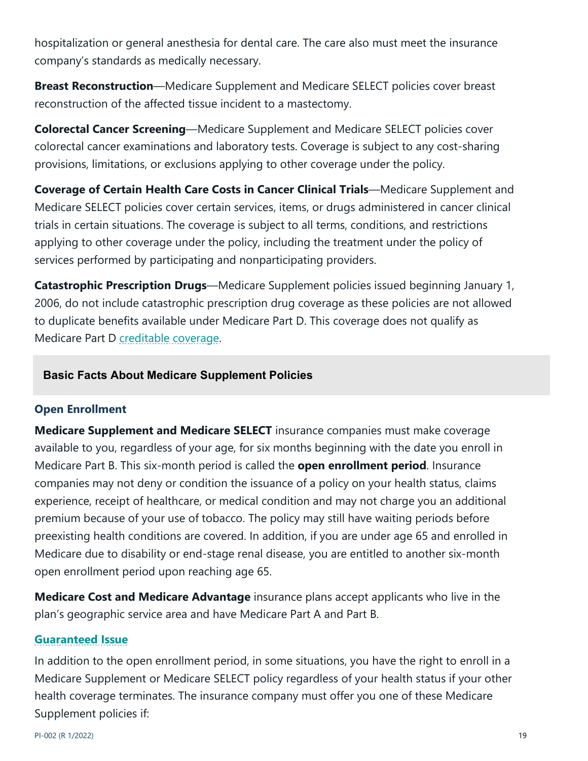hospitalization or general anesthesia for dental care. The care also must meet the insurance company's standards as medically necessary.

**Breast Reconstruction**—Medicare Supplement and Medicare SELECT policies cover breast reconstruction of the affected tissue incident to a mastectomy.

**Colorectal Cancer Screening**—Medicare Supplement and Medicare SELECT policies cover colorectal cancer examinations and laboratory tests. Coverage is subject to any cost-sharing provisions, limitations, or exclusions applying to other coverage under the policy.

**Coverage of Certain Health Care Costs in Cancer Clinical Trials**—Medicare Supplement and Medicare SELECT policies cover certain services, items, or drugs administered in cancer clinical trials in certain situations. The coverage is subject to all terms, conditions, and restrictions applying to other coverage under the policy, including the treatment under the policy of services performed by participating and nonparticipating providers.

**Catastrophic Prescription Drugs**—Medicare Supplement policies issued beginning January 1, 2006, do not include catastrophic prescription drug coverage as these policies are not allowed to duplicate benefits available under Medicare Part D. This coverage does not qualify as Medicare Part D creditable coverage.

#### **Basic Facts About Medicare Supplement Policies**

#### **Open Enrollment**

**Medicare Supplement and Medicare SELECT** insurance companies must make coverage available to you, regardless of your age, for six months beginning with the date you enroll in Medicare Part B. This six-month period is called the **open enrollment period**. Insurance companies may not deny or condition the issuance of a policy on your health status, claims experience, receipt of healthcare, or medical condition and may not charge you an additional premium because of your use of tobacco. The policy may still have waiting periods before preexisting health conditions are covered. In addition, if you are under age 65 and enrolled in Medicare due to disability or end-stage renal disease, you are entitled to another six-month open enrollment period upon reaching age 65.

**Medicare Cost and Medicare Advantage** insurance plans accept applicants who live in the plan's geographic service area and have Medicare Part A and Part B.

#### **Guaranteed Issue**

In addition to the open enrollment period, in some situations, you have the right to enroll in a Medicare Supplement or Medicare SELECT policy regardless of your health status if your other health coverage terminates. The insurance company must offer you one of these Medicare Supplement policies if: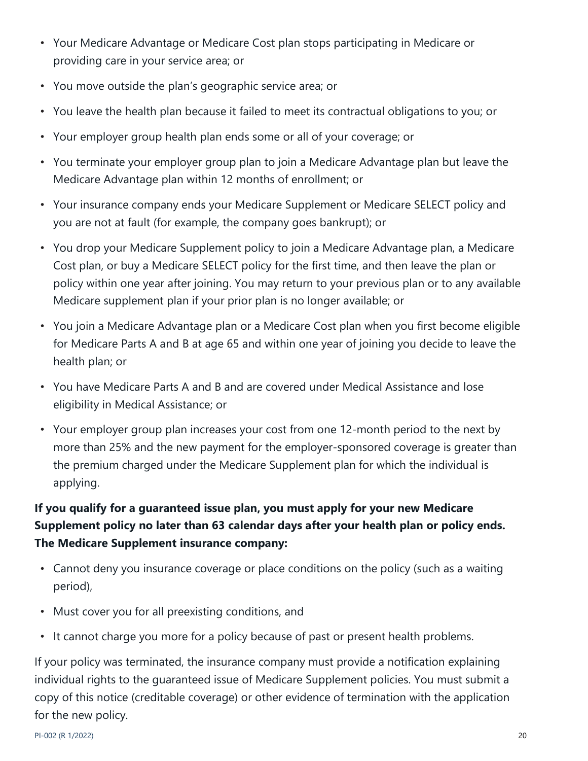- Your Medicare Advantage or Medicare Cost plan stops participating in Medicare or providing care in your service area; or
- You move outside the plan's geographic service area; or
- You leave the health plan because it failed to meet its contractual obligations to you; or
- Your employer group health plan ends some or all of your coverage; or
- You terminate your employer group plan to join a Medicare Advantage plan but leave the Medicare Advantage plan within 12 months of enrollment; or
- Your insurance company ends your Medicare Supplement or Medicare SELECT policy and you are not at fault (for example, the company goes bankrupt); or
- You drop your Medicare Supplement policy to join a Medicare Advantage plan, a Medicare Cost plan, or buy a Medicare SELECT policy for the first time, and then leave the plan or policy within one year after joining. You may return to your previous plan or to any available Medicare supplement plan if your prior plan is no longer available; or
- You join a Medicare Advantage plan or a Medicare Cost plan when you first become eligible for Medicare Parts A and B at age 65 and within one year of joining you decide to leave the health plan; or
- You have Medicare Parts A and B and are covered under Medical Assistance and lose eligibility in Medical Assistance; or
- Your employer group plan increases your cost from one 12-month period to the next by more than 25% and the new payment for the employer-sponsored coverage is greater than the premium charged under the Medicare Supplement plan for which the individual is applying.

# **If you qualify for a guaranteed issue plan, you must apply for your new Medicare Supplement policy no later than 63 calendar days after your health plan or policy ends. The Medicare Supplement insurance company:**

- Cannot deny you insurance coverage or place conditions on the policy (such as a waiting period),
- Must cover you for all preexisting conditions, and
- It cannot charge you more for a policy because of past or present health problems.

If your policy was terminated, the insurance company must provide a notification explaining individual rights to the guaranteed issue of Medicare Supplement policies. You must submit a copy of this notice (creditable coverage) or other evidence of termination with the application for the new policy.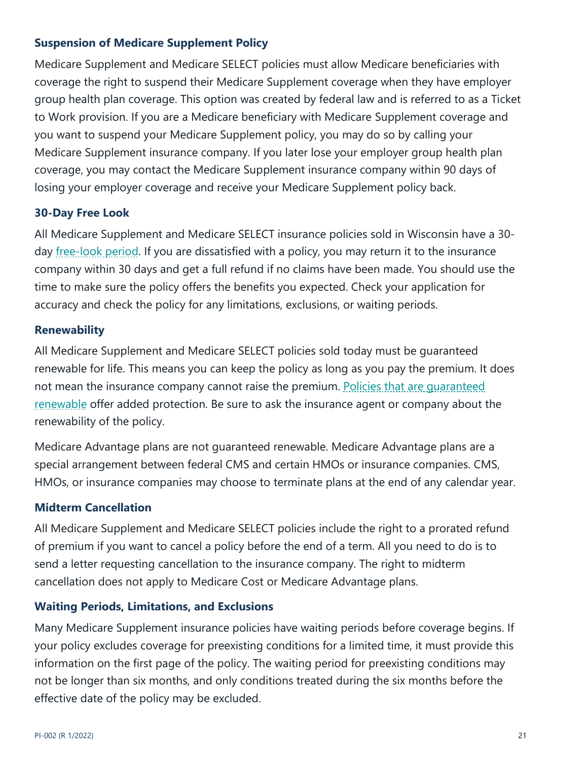## **Suspension of Medicare Supplement Policy**

Medicare Supplement and Medicare SELECT policies must allow Medicare beneficiaries with coverage the right to suspend their Medicare Supplement coverage when they have employer group health plan coverage. This option was created by federal law and is referred to as a Ticket to Work provision. If you are a Medicare beneficiary with Medicare Supplement coverage and you want to suspend your Medicare Supplement policy, you may do so by calling your Medicare Supplement insurance company. If you later lose your employer group health plan coverage, you may contact the Medicare Supplement insurance company within 90 days of losing your employer coverage and receive your Medicare Supplement policy back.

## **30-Day Free Look**

All Medicare Supplement and Medicare SELECT insurance policies sold in Wisconsin have a 30 day <u>free-look period</u>. If you are dissatisfied with a policy, you may return it to the insurance company within 30 days and get a full refund if no claims have been made. You should use the time to make sure the policy offers the benefits you expected. Check your application for accuracy and check the policy for any limitations, exclusions, or waiting periods.

#### **Renewability**

All Medicare Supplement and Medicare SELECT policies sold today must be guaranteed renewable for life. This means you can keep the policy as long as you pay the premium. It does not mean the insurance company cannot raise the premium. Policies that are guaranteed renewable offer added protection. Be sure to ask the insurance agent or company about the renewability of the policy.

Medicare Advantage plans are not guaranteed renewable. Medicare Advantage plans are a special arrangement between federal CMS and certain HMOs or insurance companies. CMS, HMOs, or insurance companies may choose to terminate plans at the end of any calendar year.

## **Midterm Cancellation**

All Medicare Supplement and Medicare SELECT policies include the right to a prorated refund of premium if you want to cancel a policy before the end of a term. All you need to do is to send a letter requesting cancellation to the insurance company. The right to midterm cancellation does not apply to Medicare Cost or Medicare Advantage plans.

## **Waiting Periods, Limitations, and Exclusions**

Many Medicare Supplement insurance policies have waiting periods before coverage begins. If your policy excludes coverage for preexisting conditions for a limited time, it must provide this information on the first page of the policy. The waiting period for preexisting conditions may not be longer than six months, and only conditions treated during the six months before the effective date of the policy may be excluded.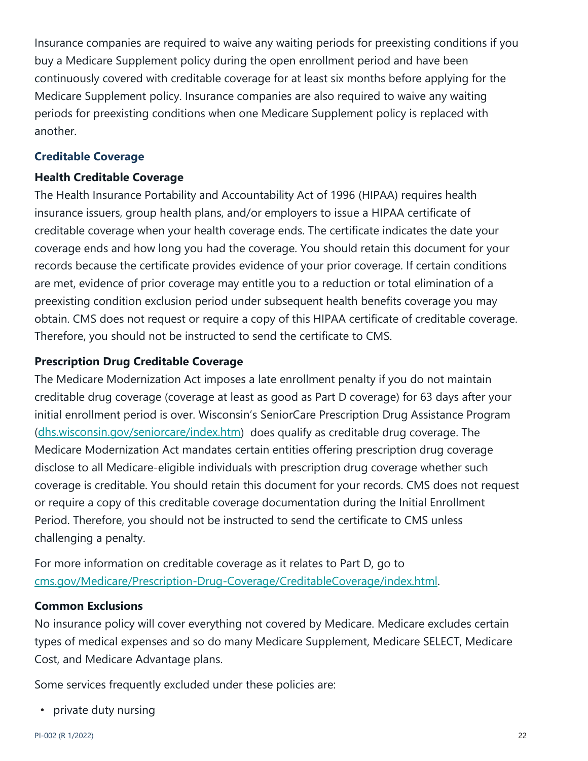Insurance companies are required to waive any waiting periods for preexisting conditions if you buy a Medicare Supplement policy during the open enrollment period and have been continuously covered with creditable coverage for at least six months before applying for the Medicare Supplement policy. Insurance companies are also required to waive any waiting periods for preexisting conditions when one Medicare Supplement policy is replaced with another.

#### **Creditable Coverage**

#### **Health Creditable Coverage**

The Health Insurance Portability and Accountability Act of 1996 (HIPAA) requires health insurance issuers, group health plans, and/or employers to issue a HIPAA certificate of creditable coverage when your health coverage ends. The certificate indicates the date your coverage ends and how long you had the coverage. You should retain this document for your records because the certificate provides evidence of your prior coverage. If certain conditions are met, evidence of prior coverage may entitle you to a reduction or total elimination of a preexisting condition exclusion period under subsequent health benefits coverage you may obtain. CMS does not request or require a copy of this HIPAA certificate of creditable coverage. Therefore, you should not be instructed to send the certificate to CMS.

## **Prescription Drug Creditable Coverage**

The Medicare Modernization Act imposes a late enrollment penalty if you do not maintain creditable drug coverage (coverage at least as good as Part D coverage) for 63 days after your initial enrollment period is over. Wisconsin's SeniorCare Prescription Drug Assistance Program (dhs.wisconsin.gov/seniorcare/index.htm) does qualify as creditable drug coverage. The Medicare Modernization Act mandates certain entities offering prescription drug coverage disclose to all Medicare-eligible individuals with prescription drug coverage whether such coverage is creditable. You should retain this document for your records. CMS does not request or require a copy of this creditable coverage documentation during the Initial Enrollment Period. Therefore, you should not be instructed to send the certificate to CMS unless challenging a penalty.

For more information on creditable coverage as it relates to Part D, go to cms.gov/Medicare/Prescription-Drug-Coverage/CreditableCoverage/index.html.

#### **Common Exclusions**

No insurance policy will cover everything not covered by Medicare. Medicare excludes certain types of medical expenses and so do many Medicare Supplement, Medicare SELECT, Medicare Cost, and Medicare Advantage plans.

Some services frequently excluded under these policies are:

• private duty nursing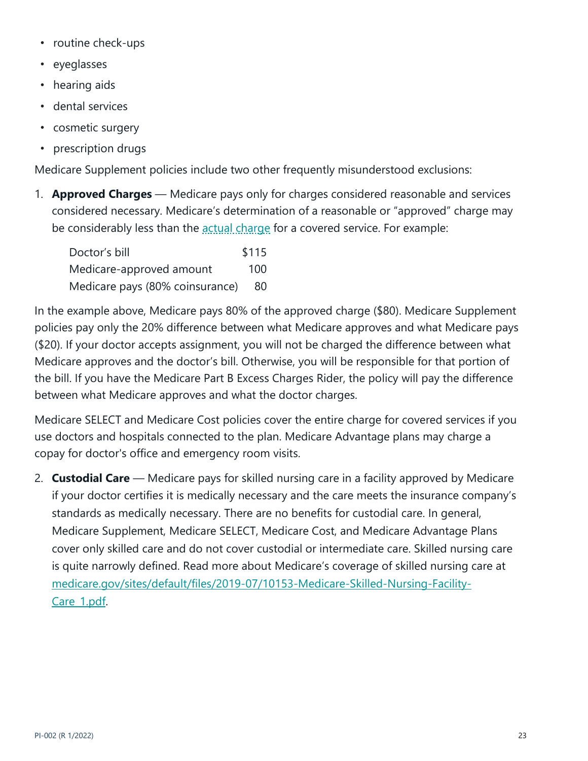- routine check-ups
- eyeglasses
- hearing aids
- dental services
- cosmetic surgery
- prescription drugs

Medicare Supplement policies include two other frequently misunderstood exclusions:

1. **Approved Charges** — Medicare pays only for charges considered reasonable and services considered necessary. Medicare's determination of a reasonable or "approved" charge may be considerably less than the actual charge for a covered service. For example:

| Doctor's bill                   | \$115 |
|---------------------------------|-------|
| Medicare-approved amount        | 100   |
| Medicare pays (80% coinsurance) | -80   |

In the example above, Medicare pays 80% of the approved charge (\$80). Medicare Supplement policies pay only the 20% difference between what Medicare approves and what Medicare pays (\$20). If your doctor accepts assignment, you will not be charged the difference between what Medicare approves and the doctor's bill. Otherwise, you will be responsible for that portion of the bill. If you have the Medicare Part B Excess Charges Rider, the policy will pay the difference between what Medicare approves and what the doctor charges.

Medicare SELECT and Medicare Cost policies cover the entire charge for covered services if you use doctors and hospitals connected to the plan. Medicare Advantage plans may charge a copay for doctor's office and emergency room visits.

2. **Custodial Care** — Medicare pays for skilled nursing care in a facility approved by Medicare if your doctor certifies it is medically necessary and the care meets the insurance company's standards as medically necessary. There are no benefits for custodial care. In general, Medicare Supplement, Medicare SELECT, Medicare Cost, and Medicare Advantage Plans cover only skilled care and do not cover custodial or intermediate care. Skilled nursing care is quite narrowly defined. Read more about Medicare's coverage of skilled nursing care at medicare.gov/sites/default/files/2019-07/10153-Medicare-Skilled-Nursing-Facility-Care\_1.pdf.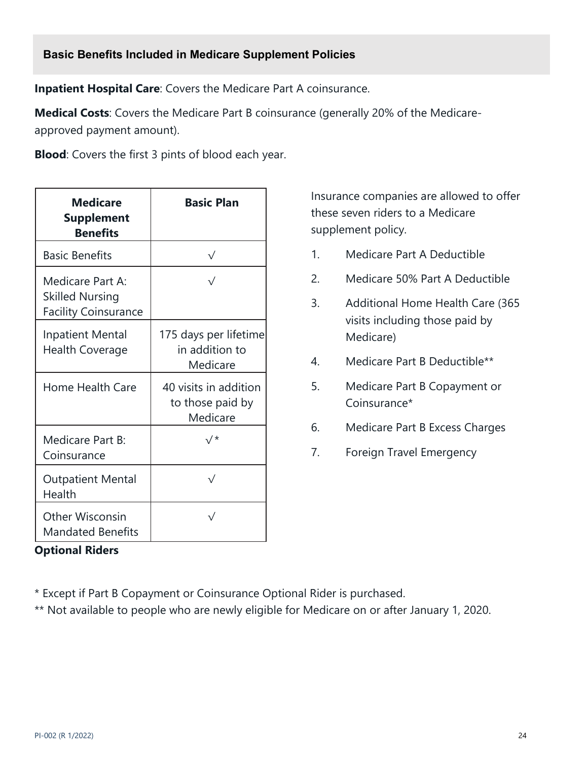**Inpatient Hospital Care**: Covers the Medicare Part A coinsurance.

**Medical Costs**: Covers the Medicare Part B coinsurance (generally 20% of the Medicareapproved payment amount).

**Blood**: Covers the first 3 pints of blood each year.

| <b>Medicare</b><br><b>Supplement</b><br><b>Benefits</b>                   | <b>Basic Plan</b>                                     |
|---------------------------------------------------------------------------|-------------------------------------------------------|
| <b>Basic Benefits</b>                                                     | $\sqrt{}$                                             |
| Medicare Part A:<br><b>Skilled Nursing</b><br><b>Facility Coinsurance</b> |                                                       |
| <b>Inpatient Mental</b><br><b>Health Coverage</b>                         | 175 days per lifetime<br>in addition to<br>Medicare   |
| Home Health Care                                                          | 40 visits in addition<br>to those paid by<br>Medicare |
| Medicare Part B:<br>Coinsurance                                           | 、/ *                                                  |
| <b>Outpatient Mental</b><br>Health                                        | $\sqrt{}$                                             |
| <b>Other Wisconsin</b><br><b>Mandated Benefits</b>                        |                                                       |

**Optional Riders**

Insurance companies are allowed to offer these seven riders to a Medicare supplement policy.

- 1. Medicare Part A Deductible
- 2. Medicare 50% Part A Deductible
- 3. Additional Home Health Care (365 visits including those paid by Medicare)
- 4. Medicare Part B Deductible\*\*
- 5. Medicare Part B Copayment or Coinsurance\*
- 6. Medicare Part B Excess Charges
- 7. Foreign Travel Emergency

\* Except if Part B Copayment or Coinsurance Optional Rider is purchased.

\*\* Not available to people who are newly eligible for Medicare on or after January 1, 2020.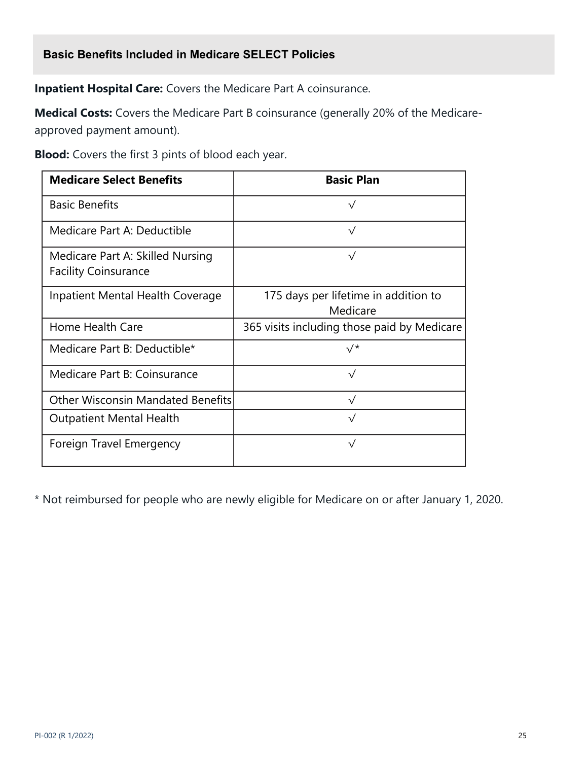## **Basic Benefits Included in Medicare SELECT Policies**

**Inpatient Hospital Care:** Covers the Medicare Part A coinsurance.

**Medical Costs:** Covers the Medicare Part B coinsurance (generally 20% of the Medicareapproved payment amount).

**Blood:** Covers the first 3 pints of blood each year.

| <b>Medicare Select Benefits</b>                                 | <b>Basic Plan</b>                                |
|-----------------------------------------------------------------|--------------------------------------------------|
| <b>Basic Benefits</b>                                           | $\sqrt{}$                                        |
| Medicare Part A: Deductible                                     | $\sqrt{}$                                        |
| Medicare Part A: Skilled Nursing<br><b>Facility Coinsurance</b> | $\sqrt{}$                                        |
| Inpatient Mental Health Coverage                                | 175 days per lifetime in addition to<br>Medicare |
| Home Health Care                                                | 365 visits including those paid by Medicare      |
| Medicare Part B: Deductible*                                    | √*                                               |
| Medicare Part B: Coinsurance                                    | $\sqrt{}$                                        |
| <b>Other Wisconsin Mandated Benefits</b>                        | $\sqrt{ }$                                       |
| <b>Outpatient Mental Health</b>                                 | $\sqrt{}$                                        |
| Foreign Travel Emergency                                        | $\sqrt{}$                                        |

\* Not reimbursed for people who are newly eligible for Medicare on or after January 1, 2020.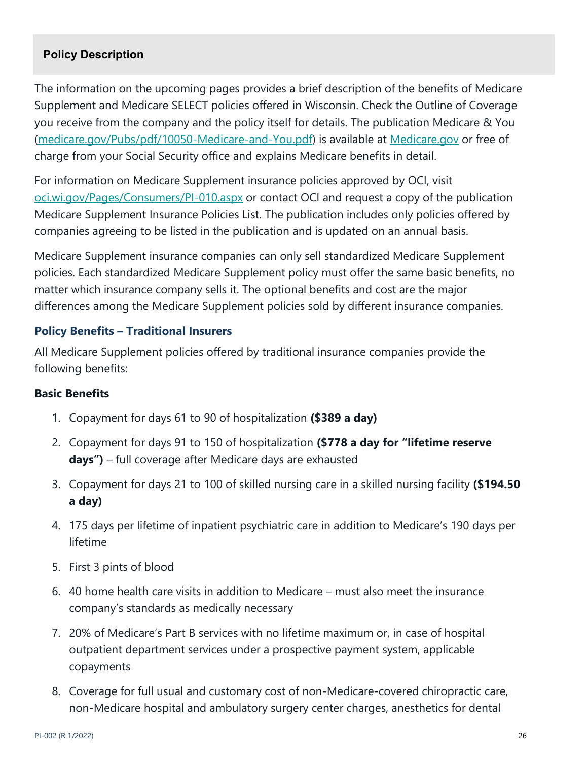## **Policy Description**

The information on the upcoming pages provides a brief description of the benefits of Medicare Supplement and Medicare SELECT policies offered in Wisconsin. Check the Outline of Coverage you receive from the company and the policy itself for details. The publication Medicare & You (medicare.gov/Pubs/pdf/10050-Medicare-and-You.pdf) is available at Medicare.gov or free of charge from your Social Security office and explains Medicare benefits in detail.

For information on Medicare Supplement insurance policies approved by OCI, visit oci.wi.gov/Pages/Consumers/PI-010.aspx or contact OCI and request a copy of the publication Medicare Supplement Insurance Policies List. The publication includes only policies offered by companies agreeing to be listed in the publication and is updated on an annual basis.

Medicare Supplement insurance companies can only sell standardized Medicare Supplement policies. Each standardized Medicare Supplement policy must offer the same basic benefits, no matter which insurance company sells it. The optional benefits and cost are the major differences among the Medicare Supplement policies sold by different insurance companies.

#### **Policy Benefits – Traditional Insurers**

All Medicare Supplement policies offered by traditional insurance companies provide the following benefits:

#### **Basic Benefits**

- 1. Copayment for days 61 to 90 of hospitalization **(\$389 a day)**
- 2. Copayment for days 91 to 150 of hospitalization **(\$778 a day for "lifetime reserve days")** – full coverage after Medicare days are exhausted
- 3. Copayment for days 21 to 100 of skilled nursing care in a skilled nursing facility **(\$194.50 a day)**
- 4. 175 days per lifetime of inpatient psychiatric care in addition to Medicare's 190 days per lifetime
- 5. First 3 pints of blood
- 6. 40 home health care visits in addition to Medicare must also meet the insurance company's standards as medically necessary
- 7. 20% of Medicare's Part B services with no lifetime maximum or, in case of hospital outpatient department services under a prospective payment system, applicable copayments
- 8. Coverage for full usual and customary cost of non-Medicare-covered chiropractic care, non-Medicare hospital and ambulatory surgery center charges, anesthetics for dental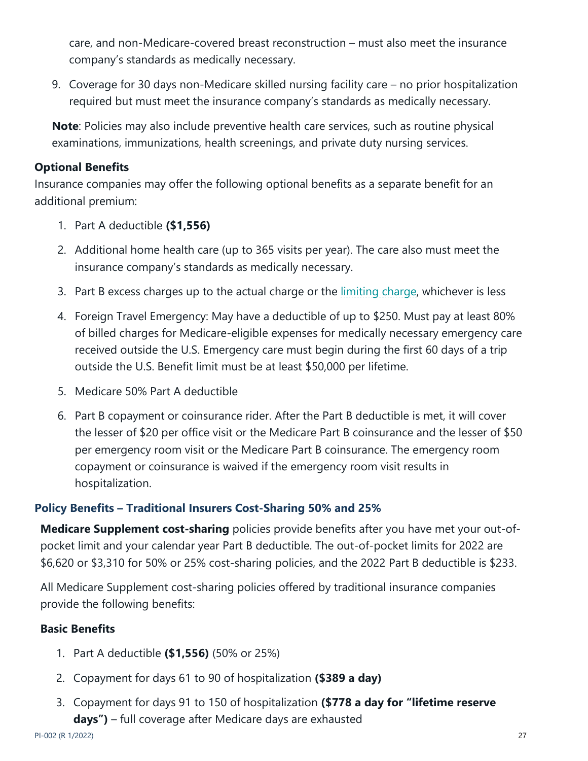care, and non-Medicare-covered breast reconstruction – must also meet the insurance company's standards as medically necessary.

9. Coverage for 30 days non-Medicare skilled nursing facility care – no prior hospitalization required but must meet the insurance company's standards as medically necessary.

**Note**: Policies may also include preventive health care services, such as routine physical examinations, immunizations, health screenings, and private duty nursing services.

## **Optional Benefits**

Insurance companies may offer the following optional benefits as a separate benefit for an additional premium:

- 1. Part A deductible **(\$1,556)**
- 2. Additional home health care (up to 365 visits per year). The care also must meet the insurance company's standards as medically necessary.
- 3. Part B excess charges up to the actual charge or the limiting charge, whichever is less
- 4. Foreign Travel Emergency: May have a deductible of up to \$250. Must pay at least 80% of billed charges for Medicare-eligible expenses for medically necessary emergency care received outside the U.S. Emergency care must begin during the first 60 days of a trip outside the U.S. Benefit limit must be at least \$50,000 per lifetime.
- 5. Medicare 50% Part A deductible
- 6. Part B copayment or coinsurance rider. After the Part B deductible is met, it will cover the lesser of \$20 per office visit or the Medicare Part B coinsurance and the lesser of \$50 per emergency room visit or the Medicare Part B coinsurance. The emergency room copayment or coinsurance is waived if the emergency room visit results in hospitalization.

## **Policy Benefits – Traditional Insurers Cost-Sharing 50% and 25%**

**Medicare Supplement cost-sharing** policies provide benefits after you have met your out-ofpocket limit and your calendar year Part B deductible. The out-of-pocket limits for 2022 are \$6,620 or \$3,310 for 50% or 25% cost-sharing policies, and the 2022 Part B deductible is \$233.

All Medicare Supplement cost-sharing policies offered by traditional insurance companies provide the following benefits:

## **Basic Benefits**

- 1. Part A deductible **(\$1,556)** (50% or 25%)
- 2. Copayment for days 61 to 90 of hospitalization **(\$389 a day)**
- 3. Copayment for days 91 to 150 of hospitalization **(\$778 a day for "lifetime reserve days")** – full coverage after Medicare days are exhausted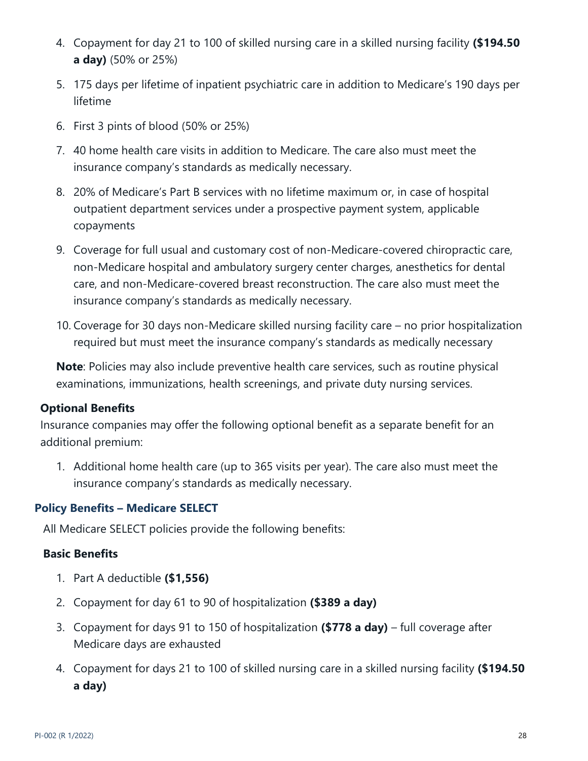- 4. Copayment for day 21 to 100 of skilled nursing care in a skilled nursing facility **(\$194.50 a day)** (50% or 25%)
- 5. 175 days per lifetime of inpatient psychiatric care in addition to Medicare's 190 days per lifetime
- 6. First 3 pints of blood (50% or 25%)
- 7. 40 home health care visits in addition to Medicare. The care also must meet the insurance company's standards as medically necessary.
- 8. 20% of Medicare's Part B services with no lifetime maximum or, in case of hospital outpatient department services under a prospective payment system, applicable copayments
- 9. Coverage for full usual and customary cost of non-Medicare-covered chiropractic care, non-Medicare hospital and ambulatory surgery center charges, anesthetics for dental care, and non-Medicare-covered breast reconstruction. The care also must meet the insurance company's standards as medically necessary.
- 10. Coverage for 30 days non-Medicare skilled nursing facility care no prior hospitalization required but must meet the insurance company's standards as medically necessary

**Note**: Policies may also include preventive health care services, such as routine physical examinations, immunizations, health screenings, and private duty nursing services.

# **Optional Benefits**

Insurance companies may offer the following optional benefit as a separate benefit for an additional premium:

1. Additional home health care (up to 365 visits per year). The care also must meet the insurance company's standards as medically necessary.

## **Policy Benefits – Medicare SELECT**

All Medicare SELECT policies provide the following benefits:

## **Basic Benefits**

- 1. Part A deductible **(\$1,556)**
- 2. Copayment for day 61 to 90 of hospitalization **(\$389 a day)**
- 3. Copayment for days 91 to 150 of hospitalization **(\$778 a day)** full coverage after Medicare days are exhausted
- 4. Copayment for days 21 to 100 of skilled nursing care in a skilled nursing facility **(\$194.50 a day)**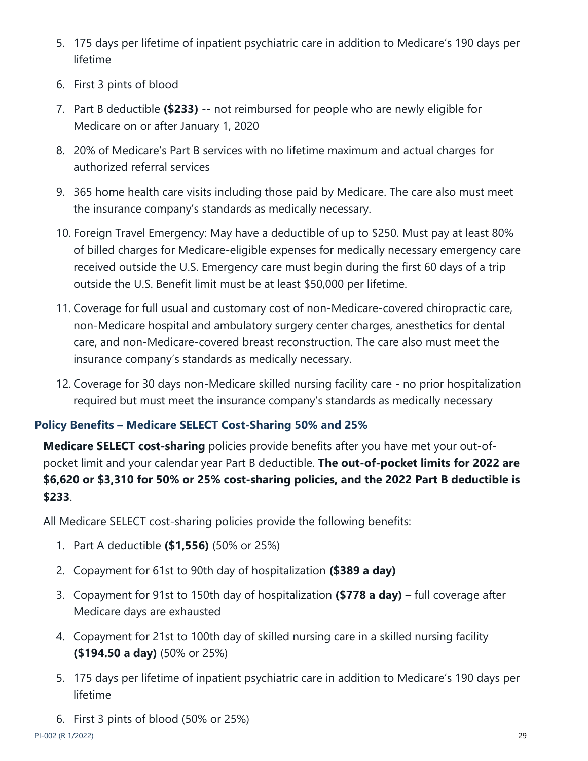- 5. 175 days per lifetime of inpatient psychiatric care in addition to Medicare's 190 days per lifetime
- 6. First 3 pints of blood
- 7. Part B deductible **(\$233)** -- not reimbursed for people who are newly eligible for Medicare on or after January 1, 2020
- 8. 20% of Medicare's Part B services with no lifetime maximum and actual charges for authorized referral services
- 9. 365 home health care visits including those paid by Medicare. The care also must meet the insurance company's standards as medically necessary.
- 10. Foreign Travel Emergency: May have a deductible of up to \$250. Must pay at least 80% of billed charges for Medicare-eligible expenses for medically necessary emergency care received outside the U.S. Emergency care must begin during the first 60 days of a trip outside the U.S. Benefit limit must be at least \$50,000 per lifetime.
- 11. Coverage for full usual and customary cost of non-Medicare-covered chiropractic care, non-Medicare hospital and ambulatory surgery center charges, anesthetics for dental care, and non-Medicare-covered breast reconstruction. The care also must meet the insurance company's standards as medically necessary.
- 12. Coverage for 30 days non-Medicare skilled nursing facility care no prior hospitalization required but must meet the insurance company's standards as medically necessary

# **Policy Benefits – Medicare SELECT Cost-Sharing 50% and 25%**

**Medicare SELECT cost-sharing** policies provide benefits after you have met your out-ofpocket limit and your calendar year Part B deductible. **The out-of-pocket limits for 2022 are \$6,620 or \$3,310 for 50% or 25% cost-sharing policies, and the 2022 Part B deductible is \$233**.

All Medicare SELECT cost-sharing policies provide the following benefits:

- 1. Part A deductible **(\$1,556)** (50% or 25%)
- 2. Copayment for 61st to 90th day of hospitalization **(\$389 a day)**
- 3. Copayment for 91st to 150th day of hospitalization **(\$778 a day)** full coverage after Medicare days are exhausted
- 4. Copayment for 21st to 100th day of skilled nursing care in a skilled nursing facility **(\$194.50 a day)** (50% or 25%)
- 5. 175 days per lifetime of inpatient psychiatric care in addition to Medicare's 190 days per lifetime
- 6. First 3 pints of blood (50% or 25%)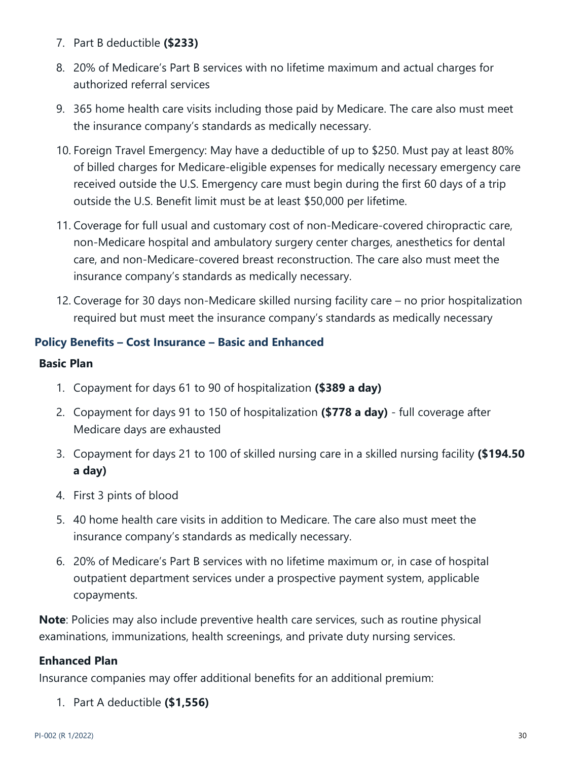- 7. Part B deductible **(\$233)**
- 8. 20% of Medicare's Part B services with no lifetime maximum and actual charges for authorized referral services
- 9. 365 home health care visits including those paid by Medicare. The care also must meet the insurance company's standards as medically necessary.
- 10. Foreign Travel Emergency: May have a deductible of up to \$250. Must pay at least 80% of billed charges for Medicare-eligible expenses for medically necessary emergency care received outside the U.S. Emergency care must begin during the first 60 days of a trip outside the U.S. Benefit limit must be at least \$50,000 per lifetime.
- 11. Coverage for full usual and customary cost of non-Medicare-covered chiropractic care, non-Medicare hospital and ambulatory surgery center charges, anesthetics for dental care, and non-Medicare-covered breast reconstruction. The care also must meet the insurance company's standards as medically necessary.
- 12. Coverage for 30 days non-Medicare skilled nursing facility care no prior hospitalization required but must meet the insurance company's standards as medically necessary

## **Policy Benefits – Cost Insurance – Basic and Enhanced**

#### **Basic Plan**

- 1. Copayment for days 61 to 90 of hospitalization **(\$389 a day)**
- 2. Copayment for days 91 to 150 of hospitalization **(\$778 a day)** full coverage after Medicare days are exhausted
- 3. Copayment for days 21 to 100 of skilled nursing care in a skilled nursing facility **(\$194.50 a day)**
- 4. First 3 pints of blood
- 5. 40 home health care visits in addition to Medicare. The care also must meet the insurance company's standards as medically necessary.
- 6. 20% of Medicare's Part B services with no lifetime maximum or, in case of hospital outpatient department services under a prospective payment system, applicable copayments.

**Note**: Policies may also include preventive health care services, such as routine physical examinations, immunizations, health screenings, and private duty nursing services.

## **Enhanced Plan**

Insurance companies may offer additional benefits for an additional premium:

1. Part A deductible **(\$1,556)**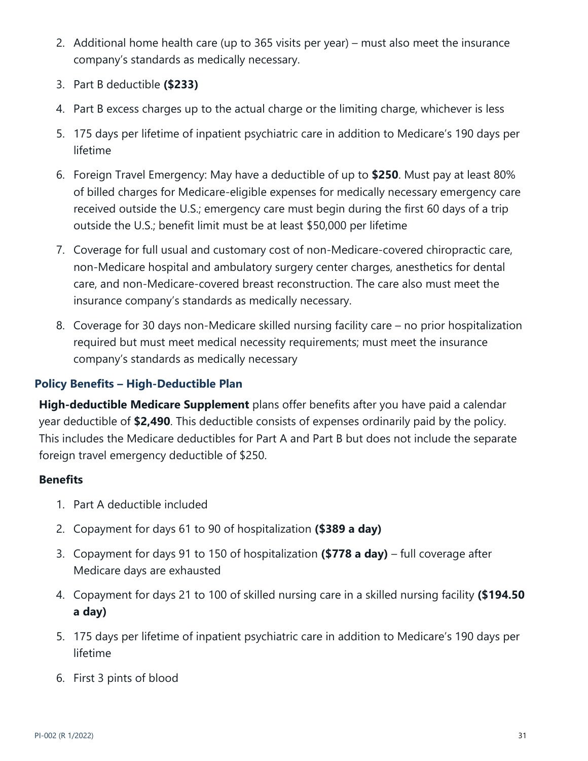- 2. Additional home health care (up to 365 visits per year) must also meet the insurance company's standards as medically necessary.
- 3. Part B deductible **(\$233)**
- 4. Part B excess charges up to the actual charge or the limiting charge, whichever is less
- 5. 175 days per lifetime of inpatient psychiatric care in addition to Medicare's 190 days per lifetime
- 6. Foreign Travel Emergency: May have a deductible of up to **\$250**. Must pay at least 80% of billed charges for Medicare-eligible expenses for medically necessary emergency care received outside the U.S.; emergency care must begin during the first 60 days of a trip outside the U.S.; benefit limit must be at least \$50,000 per lifetime
- 7. Coverage for full usual and customary cost of non-Medicare-covered chiropractic care, non-Medicare hospital and ambulatory surgery center charges, anesthetics for dental care, and non-Medicare-covered breast reconstruction. The care also must meet the insurance company's standards as medically necessary.
- 8. Coverage for 30 days non-Medicare skilled nursing facility care no prior hospitalization required but must meet medical necessity requirements; must meet the insurance company's standards as medically necessary

# **Policy Benefits – High-Deductible Plan**

**High-deductible Medicare Supplement** plans offer benefits after you have paid a calendar year deductible of **\$2,490**. This deductible consists of expenses ordinarily paid by the policy. This includes the Medicare deductibles for Part A and Part B but does not include the separate foreign travel emergency deductible of \$250.

## **Benefits**

- 1. Part A deductible included
- 2. Copayment for days 61 to 90 of hospitalization **(\$389 a day)**
- 3. Copayment for days 91 to 150 of hospitalization **(\$778 a day)**  full coverage after Medicare days are exhausted
- 4. Copayment for days 21 to 100 of skilled nursing care in a skilled nursing facility **(\$194.50 a day)**
- 5. 175 days per lifetime of inpatient psychiatric care in addition to Medicare's 190 days per lifetime
- 6. First 3 pints of blood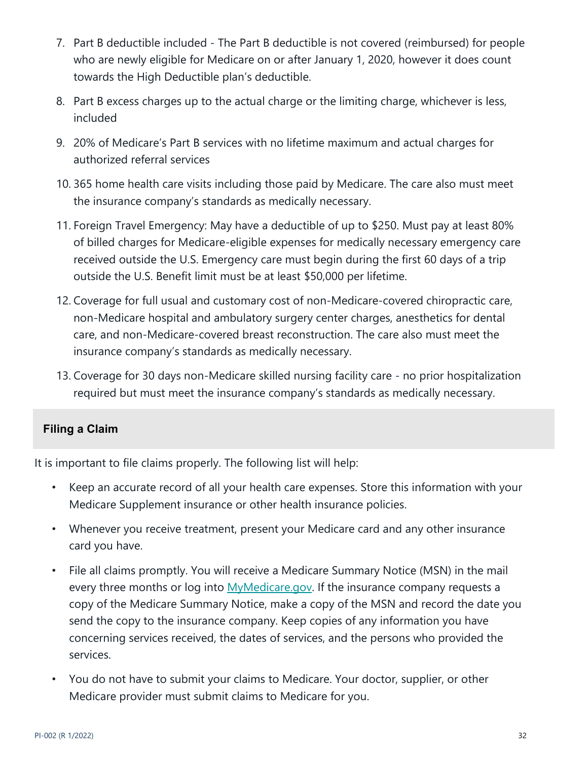- 7. Part B deductible included The Part B deductible is not covered (reimbursed) for people who are newly eligible for Medicare on or after January 1, 2020, however it does count towards the High Deductible plan's deductible.
- 8. Part B excess charges up to the actual charge or the limiting charge, whichever is less, included
- 9. 20% of Medicare's Part B services with no lifetime maximum and actual charges for authorized referral services
- 10. 365 home health care visits including those paid by Medicare. The care also must meet the insurance company's standards as medically necessary.
- 11. Foreign Travel Emergency: May have a deductible of up to \$250. Must pay at least 80% of billed charges for Medicare-eligible expenses for medically necessary emergency care received outside the U.S. Emergency care must begin during the first 60 days of a trip outside the U.S. Benefit limit must be at least \$50,000 per lifetime.
- 12. Coverage for full usual and customary cost of non-Medicare-covered chiropractic care, non-Medicare hospital and ambulatory surgery center charges, anesthetics for dental care, and non-Medicare-covered breast reconstruction. The care also must meet the insurance company's standards as medically necessary.
- 13. Coverage for 30 days non-Medicare skilled nursing facility care no prior hospitalization required but must meet the insurance company's standards as medically necessary.

## **Filing a Claim**

It is important to file claims properly. The following list will help:

- Keep an accurate record of all your health care expenses. Store this information with your Medicare Supplement insurance or other health insurance policies.
- Whenever you receive treatment, present your Medicare card and any other insurance card you have.
- File all claims promptly. You will receive a Medicare Summary Notice (MSN) in the mail every three months or log into MyMedicare.gov. If the insurance company requests a copy of the Medicare Summary Notice, make a copy of the MSN and record the date you send the copy to the insurance company. Keep copies of any information you have concerning services received, the dates of services, and the persons who provided the services.
- You do not have to submit your claims to Medicare. Your doctor, supplier, or other Medicare provider must submit claims to Medicare for you.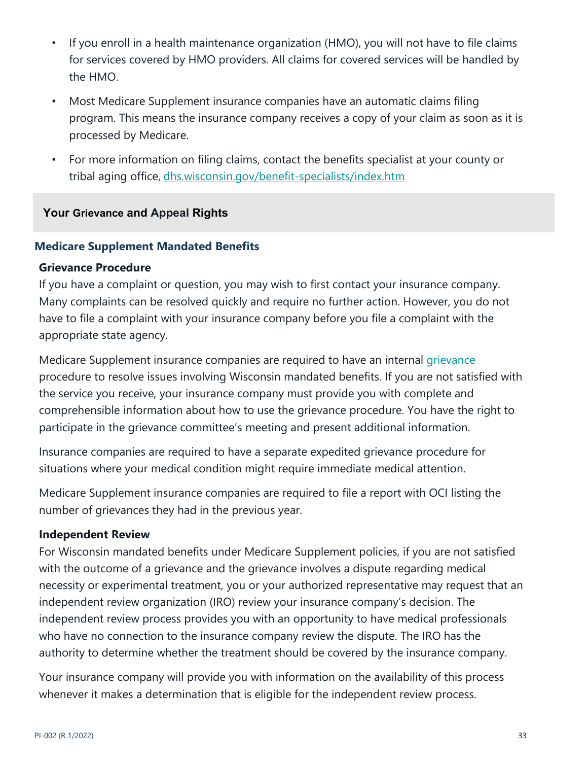- If you enroll in a health maintenance organization (HMO), you will not have to file claims for services covered by HMO providers. All claims for covered services will be handled by the HMO.
- Most Medicare Supplement insurance companies have an automatic claims filing program. This means the insurance company receives a copy of your claim as soon as it is processed by Medicare.
- For more information on filing claims, contact the benefits specialist at your county or tribal aging office, dhs.wisconsin.gov/benefit-specialists/index.htm

#### **Your Grievance and Appeal Rights**

#### **Medicare Supplement Mandated Benefits**

#### **Grievance Procedure**

If you have a complaint or question, you may wish to first contact your insurance company. Many complaints can be resolved quickly and require no further action. However, you do not have to file a complaint with your insurance company before you file a complaint with the appropriate state agency.

Medicare Supplement insurance companies are required to have an internal *grievance* procedure to resolve issues involving Wisconsin mandated benefits. If you are not satisfied with the service you receive, your insurance company must provide you with complete and comprehensible information about how to use the grievance procedure. You have the right to participate in the grievance committee's meeting and present additional information.

Insurance companies are required to have a separate expedited grievance procedure for situations where your medical condition might require immediate medical attention.

Medicare Supplement insurance companies are required to file a report with OCI listing the number of grievances they had in the previous year.

#### **Independent Review**

For Wisconsin mandated benefits under Medicare Supplement policies, if you are not satisfied with the outcome of a grievance and the grievance involves a dispute regarding medical necessity or experimental treatment, you or your authorized representative may request that an independent review organization (IRO) review your insurance company's decision. The independent review process provides you with an opportunity to have medical professionals who have no connection to the insurance company review the dispute. The IRO has the authority to determine whether the treatment should be covered by the insurance company.

Your insurance company will provide you with information on the availability of this process whenever it makes a determination that is eligible for the independent review process.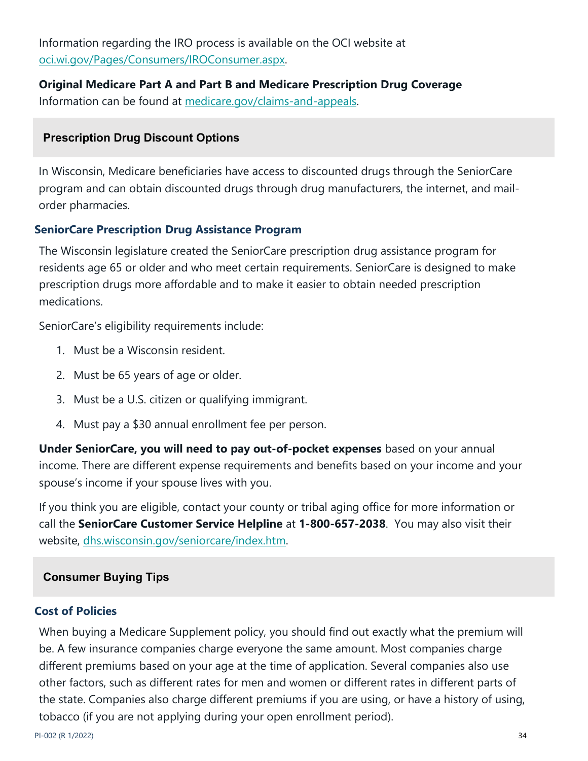Information regarding the IRO process is available on the OCI website at oci.wi.gov/Pages/Consumers/IROConsumer.aspx.

**Original Medicare Part A and Part B and Medicare Prescription Drug Coverage** Information can be found at medicare.gov/claims-and-appeals.

## **Prescription Drug Discount Options**

In Wisconsin, Medicare beneficiaries have access to discounted drugs through the SeniorCare program and can obtain discounted drugs through drug manufacturers, the internet, and mailorder pharmacies.

## **SeniorCare Prescription Drug Assistance Program**

The Wisconsin legislature created the SeniorCare prescription drug assistance program for residents age 65 or older and who meet certain requirements. SeniorCare is designed to make prescription drugs more affordable and to make it easier to obtain needed prescription medications.

SeniorCare's eligibility requirements include:

- 1. Must be a Wisconsin resident.
- 2. Must be 65 years of age or older.
- 3. Must be a U.S. citizen or qualifying immigrant.
- 4. Must pay a \$30 annual enrollment fee per person.

**Under SeniorCare, you will need to pay out-of-pocket expenses** based on your annual income. There are different expense requirements and benefits based on your income and your spouse's income if your spouse lives with you.

If you think you are eligible, contact your county or tribal aging office for more information or call the **SeniorCare Customer Service Helpline** at **1-800-657-2038**. You may also visit their website, dhs.wisconsin.gov/seniorcare/index.htm.

# **Consumer Buying Tips**

## **Cost of Policies**

When buying a Medicare Supplement policy, you should find out exactly what the premium will be. A few insurance companies charge everyone the same amount. Most companies charge different premiums based on your age at the time of application. Several companies also use other factors, such as different rates for men and women or different rates in different parts of the state. Companies also charge different premiums if you are using, or have a history of using, tobacco (if you are not applying during your open enrollment period).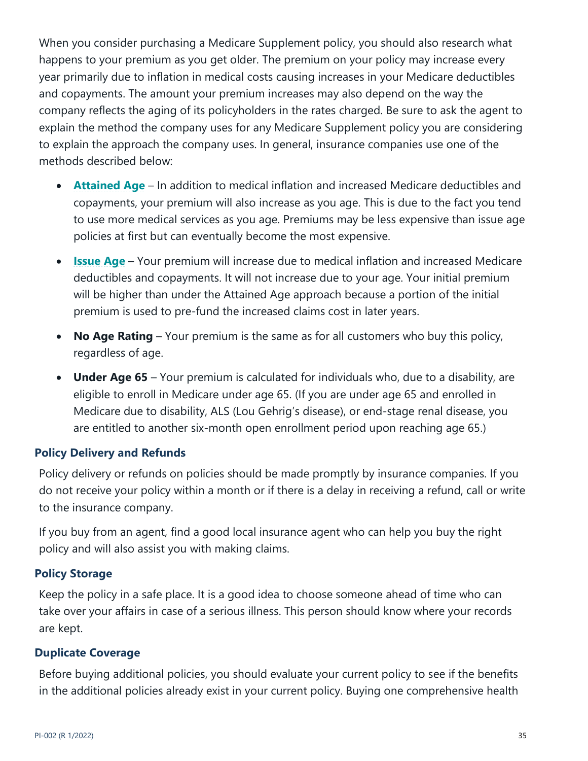When you consider purchasing a Medicare Supplement policy, you should also research what happens to your premium as you get older. The premium on your policy may increase every year primarily due to inflation in medical costs causing increases in your Medicare deductibles and copayments. The amount your premium increases may also depend on the way the company reflects the aging of its policyholders in the rates charged. Be sure to ask the agent to explain the method the company uses for any Medicare Supplement policy you are considering to explain the approach the company uses. In general, insurance companies use one of the methods described below:

- **Attained Age** In addition to medical inflation and increased Medicare deductibles and copayments, your premium will also increase as you age. This is due to the fact you tend to use more medical services as you age. Premiums may be less expensive than issue age policies at first but can eventually become the most expensive.
- **Issue Age** Your premium will increase due to medical inflation and increased Medicare deductibles and copayments. It will not increase due to your age. Your initial premium will be higher than under the Attained Age approach because a portion of the initial premium is used to pre-fund the increased claims cost in later years.
- **No Age Rating** Your premium is the same as for all customers who buy this policy, regardless of age.
- **Under Age 65** Your premium is calculated for individuals who, due to a disability, are eligible to enroll in Medicare under age 65. (If you are under age 65 and enrolled in Medicare due to disability, ALS (Lou Gehrig's disease), or end-stage renal disease, you are entitled to another six-month open enrollment period upon reaching age 65.)

#### **Policy Delivery and Refunds**

Policy delivery or refunds on policies should be made promptly by insurance companies. If you do not receive your policy within a month or if there is a delay in receiving a refund, call or write to the insurance company.

If you buy from an agent, find a good local insurance agent who can help you buy the right policy and will also assist you with making claims.

#### **Policy Storage**

Keep the policy in a safe place. It is a good idea to choose someone ahead of time who can take over your affairs in case of a serious illness. This person should know where your records are kept.

#### **Duplicate Coverage**

Before buying additional policies, you should evaluate your current policy to see if the benefits in the additional policies already exist in your current policy. Buying one comprehensive health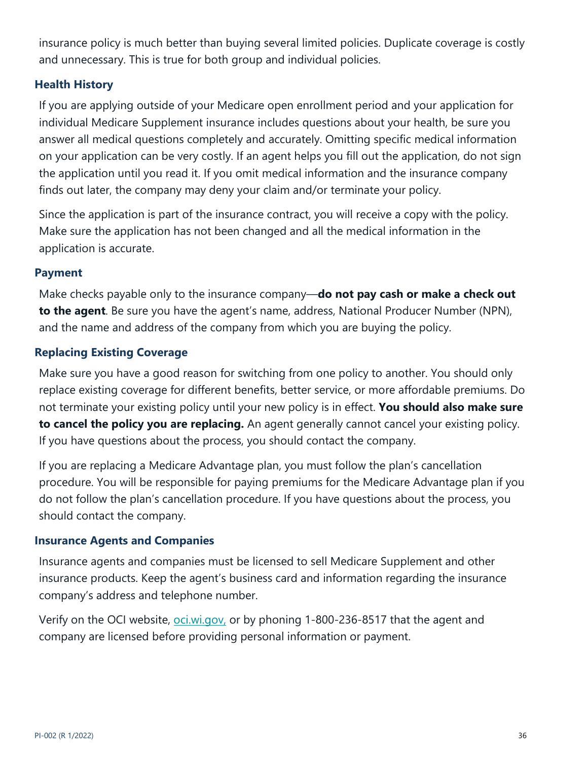insurance policy is much better than buying several limited policies. Duplicate coverage is costly and unnecessary. This is true for both group and individual policies.

## **Health History**

If you are applying outside of your Medicare open enrollment period and your application for individual Medicare Supplement insurance includes questions about your health, be sure you answer all medical questions completely and accurately. Omitting specific medical information on your application can be very costly. If an agent helps you fill out the application, do not sign the application until you read it. If you omit medical information and the insurance company finds out later, the company may deny your claim and/or terminate your policy.

Since the application is part of the insurance contract, you will receive a copy with the policy. Make sure the application has not been changed and all the medical information in the application is accurate.

## **Payment**

Make checks payable only to the insurance company—**do not pay cash or make a check out to the agent**. Be sure you have the agent's name, address, National Producer Number (NPN), and the name and address of the company from which you are buying the policy.

# **Replacing Existing Coverage**

Make sure you have a good reason for switching from one policy to another. You should only replace existing coverage for different benefits, better service, or more affordable premiums. Do not terminate your existing policy until your new policy is in effect. **You should also make sure to cancel the policy you are replacing.** An agent generally cannot cancel your existing policy. If you have questions about the process, you should contact the company.

If you are replacing a Medicare Advantage plan, you must follow the plan's cancellation procedure. You will be responsible for paying premiums for the Medicare Advantage plan if you do not follow the plan's cancellation procedure. If you have questions about the process, you should contact the company.

## **Insurance Agents and Companies**

Insurance agents and companies must be licensed to sell Medicare Supplement and other insurance products. Keep the agent's business card and information regarding the insurance company's address and telephone number.

Verify on the OCI website, oci.wi.gov, or by phoning 1-800-236-8517 that the agent and company are licensed before providing personal information or payment.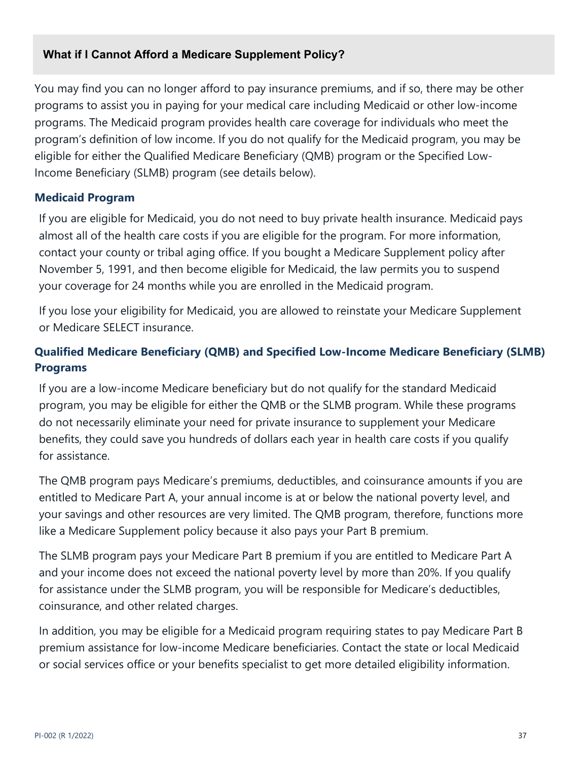#### **What if I Cannot Afford a Medicare Supplement Policy?**

You may find you can no longer afford to pay insurance premiums, and if so, there may be other programs to assist you in paying for your medical care including Medicaid or other low-income programs. The Medicaid program provides health care coverage for individuals who meet the program's definition of low income. If you do not qualify for the Medicaid program, you may be eligible for either the Qualified Medicare Beneficiary (QMB) program or the Specified Low-Income Beneficiary (SLMB) program (see details below).

#### **Medicaid Program**

If you are eligible for Medicaid, you do not need to buy private health insurance. Medicaid pays almost all of the health care costs if you are eligible for the program. For more information, contact your county or tribal aging office. If you bought a Medicare Supplement policy after November 5, 1991, and then become eligible for Medicaid, the law permits you to suspend your coverage for 24 months while you are enrolled in the Medicaid program.

If you lose your eligibility for Medicaid, you are allowed to reinstate your Medicare Supplement or Medicare SELECT insurance.

# **Qualified Medicare Beneficiary (QMB) and Specified Low-Income Medicare Beneficiary (SLMB) Programs**

If you are a low-income Medicare beneficiary but do not qualify for the standard Medicaid program, you may be eligible for either the QMB or the SLMB program. While these programs do not necessarily eliminate your need for private insurance to supplement your Medicare benefits, they could save you hundreds of dollars each year in health care costs if you qualify for assistance.

The QMB program pays Medicare's premiums, deductibles, and coinsurance amounts if you are entitled to Medicare Part A, your annual income is at or below the national poverty level, and your savings and other resources are very limited. The QMB program, therefore, functions more like a Medicare Supplement policy because it also pays your Part B premium.

The SLMB program pays your Medicare Part B premium if you are entitled to Medicare Part A and your income does not exceed the national poverty level by more than 20%. If you qualify for assistance under the SLMB program, you will be responsible for Medicare's deductibles, coinsurance, and other related charges.

In addition, you may be eligible for a Medicaid program requiring states to pay Medicare Part B premium assistance for low-income Medicare beneficiaries. Contact the state or local Medicaid or social services office or your benefits specialist to get more detailed eligibility information.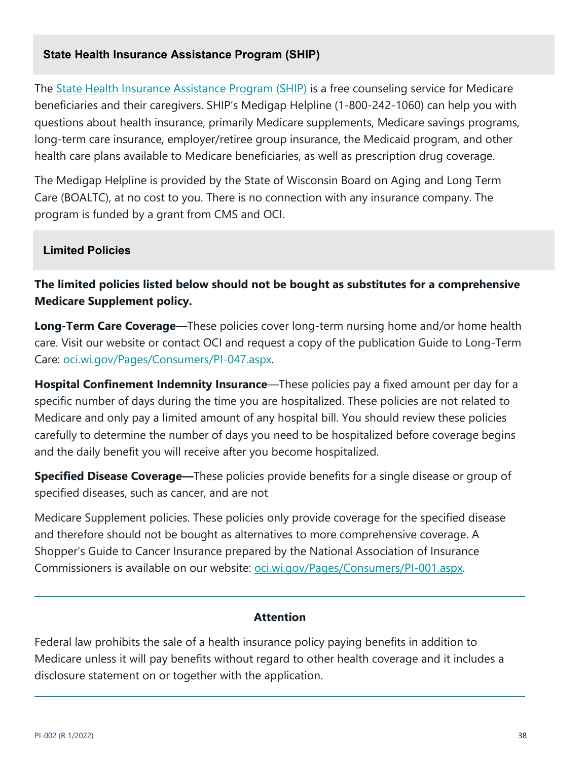#### **State Health Insurance Assistance Program (SHIP)**

The State Health Insurance Assistance Program (SHIP) is a free counseling service for Medicare beneficiaries and their caregivers. SHIP's Medigap Helpline (1-800-242-1060) can help you with questions about health insurance, primarily Medicare supplements, Medicare savings programs, long-term care insurance, employer/retiree group insurance, the Medicaid program, and other health care plans available to Medicare beneficiaries, as well as prescription drug coverage.

The Medigap Helpline is provided by the State of Wisconsin Board on Aging and Long Term Care (BOALTC), at no cost to you. There is no connection with any insurance company. The program is funded by a grant from CMS and OCI.

#### **Limited Policies**

**The limited policies listed below should not be bought as substitutes for a comprehensive Medicare Supplement policy.**

**Long-Term Care Coverage**—These policies cover long-term nursing home and/or home health care. Visit our website or contact OCI and request a copy of the publication Guide to Long-Term Care: oci.wi.gov/Pages/Consumers/PI-047.aspx.

**Hospital Confinement Indemnity Insurance**—These policies pay a fixed amount per day for a specific number of days during the time you are hospitalized. These policies are not related to Medicare and only pay a limited amount of any hospital bill. You should review these policies carefully to determine the number of days you need to be hospitalized before coverage begins and the daily benefit you will receive after you become hospitalized.

**Specified Disease Coverage—**These policies provide benefits for a single disease or group of specified diseases, such as cancer, and are not

Medicare Supplement policies. These policies only provide coverage for the specified disease and therefore should not be bought as alternatives to more comprehensive coverage. A Shopper's Guide to Cancer Insurance prepared by the National Association of Insurance Commissioners is available on our website: oci.wi.gov/Pages/Consumers/PI-001.aspx.

#### **Attention**

Federal law prohibits the sale of a health insurance policy paying benefits in addition to Medicare unless it will pay benefits without regard to other health coverage and it includes a disclosure statement on or together with the application.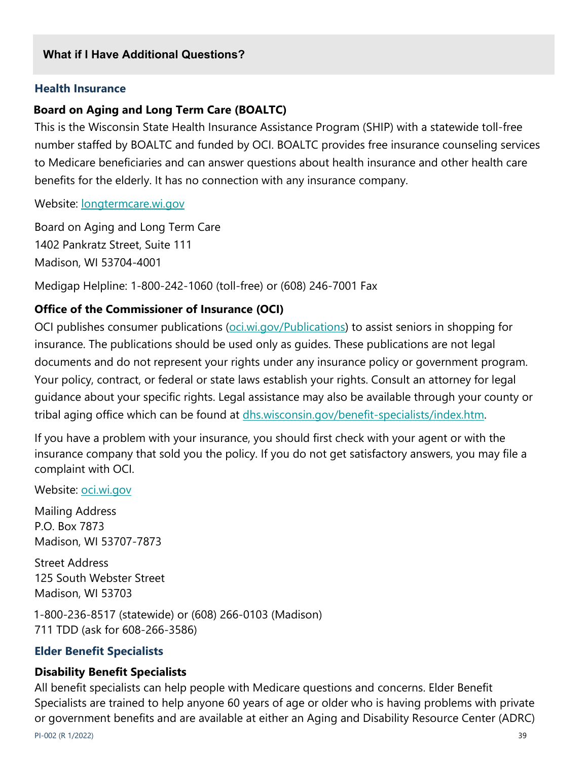#### **What if I Have Additional Questions?**

#### **Health Insurance**

#### **Board on Aging and Long Term Care (BOALTC)**

This is the Wisconsin State Health Insurance Assistance Program (SHIP) with a statewide toll-free number staffed by BOALTC and funded by OCI. BOALTC provides free insurance counseling services to Medicare beneficiaries and can answer questions about health insurance and other health care benefits for the elderly. It has no connection with any insurance company.

Website: longtermcare.wi.gov

Board on Aging and Long Term Care 1402 Pankratz Street, Suite 111 Madison, WI 53704-4001

Medigap Helpline: 1-800-242-1060 (toll-free) or (608) 246-7001 Fax

#### **Office of the Commissioner of Insurance (OCI)**

OCI publishes consumer publications (oci.wi.gov/Publications) to assist seniors in shopping for insurance. The publications should be used only as guides. These publications are not legal documents and do not represent your rights under any insurance policy or government program. Your policy, contract, or federal or state laws establish your rights. Consult an attorney for legal guidance about your specific rights. Legal assistance may also be available through your county or tribal aging office which can be found at dhs.wisconsin.gov/benefit-specialists/index.htm.

If you have a problem with your insurance, you should first check with your agent or with the insurance company that sold you the policy. If you do not get satisfactory answers, you may file a complaint with OCI.

Website: **oci.wi.gov** 

Mailing Address P.O. Box 7873 Madison, WI 53707-7873

Street Address 125 South Webster Street Madison, WI 53703

1-800-236-8517 (statewide) or (608) 266-0103 (Madison) 711 TDD (ask for 608-266-3586)

#### **Elder Benefit Specialists**

#### **Disability Benefit Specialists**

All benefit specialists can help people with Medicare questions and concerns. Elder Benefit Specialists are trained to help anyone 60 years of age or older who is having problems with private or government benefits and are available at either an Aging and Disability Resource Center (ADRC)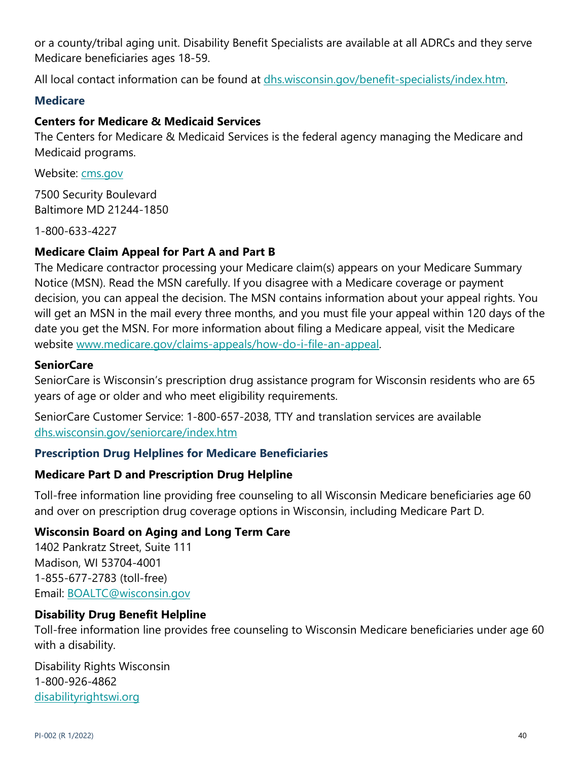or a county/tribal aging unit. Disability Benefit Specialists are available at all ADRCs and they serve Medicare beneficiaries ages 18-59.

All local contact information can be found at dhs.wisconsin.gov/benefit-specialists/index.htm.

#### **Medicare**

## **Centers for Medicare & Medicaid Services**

The Centers for Medicare & Medicaid Services is the federal agency managing the Medicare and Medicaid programs.

Website: cms.gov

7500 Security Boulevard Baltimore MD 21244-1850

1-800-633-4227

## **Medicare Claim Appeal for Part A and Part B**

The Medicare contractor processing your Medicare claim(s) appears on your Medicare Summary Notice (MSN). Read the MSN carefully. If you disagree with a Medicare coverage or payment decision, you can appeal the decision. The MSN contains information about your appeal rights. You will get an MSN in the mail every three months, and you must file your appeal within 120 days of the date you get the MSN. For more information about filing a Medicare appeal, visit the Medicare website www.medicare.gov/claims-appeals/how-do-i-file-an-appeal.

#### **SeniorCare**

SeniorCare is Wisconsin's prescription drug assistance program for Wisconsin residents who are 65 years of age or older and who meet eligibility requirements.

SeniorCare Customer Service: 1-800-657-2038, TTY and translation services are available dhs.wisconsin.gov/seniorcare/index.htm

## **Prescription Drug Helplines for Medicare Beneficiaries**

#### **Medicare Part D and Prescription Drug Helpline**

Toll-free information line providing free counseling to all Wisconsin Medicare beneficiaries age 60 and over on prescription drug coverage options in Wisconsin, including Medicare Part D.

#### **Wisconsin Board on Aging and Long Term Care**

1402 Pankratz Street, Suite 111 Madison, WI 53704-4001 1-855-677-2783 (toll-free) Email: BOALTC@wisconsin.gov

#### **Disability Drug Benefit Helpline**

Toll-free information line provides free counseling to Wisconsin Medicare beneficiaries under age 60 with a disability.

Disability Rights Wisconsin 1-800-926-4862 disabilityrightswi.org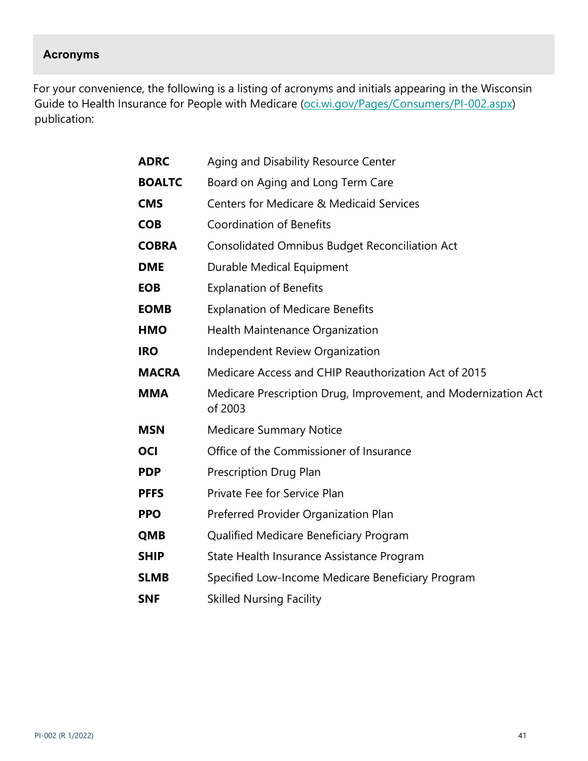## **Acronyms**

For your convenience, the following is a listing of acronyms and initials appearing in the Wisconsin Guide to Health Insurance for People with Medicare (oci.wi.gov/Pages/Consumers/PI-002.aspx) publication:

| <b>ADRC</b>   | Aging and Disability Resource Center                                      |
|---------------|---------------------------------------------------------------------------|
| <b>BOALTC</b> | Board on Aging and Long Term Care                                         |
| <b>CMS</b>    | <b>Centers for Medicare &amp; Medicaid Services</b>                       |
| <b>COB</b>    | <b>Coordination of Benefits</b>                                           |
| <b>COBRA</b>  | <b>Consolidated Omnibus Budget Reconciliation Act</b>                     |
| <b>DME</b>    | Durable Medical Equipment                                                 |
| <b>EOB</b>    | <b>Explanation of Benefits</b>                                            |
| <b>EOMB</b>   | <b>Explanation of Medicare Benefits</b>                                   |
| <b>HMO</b>    | <b>Health Maintenance Organization</b>                                    |
| <b>IRO</b>    | Independent Review Organization                                           |
| <b>MACRA</b>  | Medicare Access and CHIP Reauthorization Act of 2015                      |
| <b>MMA</b>    | Medicare Prescription Drug, Improvement, and Modernization Act<br>of 2003 |
| <b>MSN</b>    | <b>Medicare Summary Notice</b>                                            |
| <b>OCI</b>    | Office of the Commissioner of Insurance                                   |
| <b>PDP</b>    | Prescription Drug Plan                                                    |
| <b>PFFS</b>   | Private Fee for Service Plan                                              |
| <b>PPO</b>    | Preferred Provider Organization Plan                                      |
| <b>QMB</b>    | Qualified Medicare Beneficiary Program                                    |
| <b>SHIP</b>   | State Health Insurance Assistance Program                                 |
| <b>SLMB</b>   | Specified Low-Income Medicare Beneficiary Program                         |
| <b>SNF</b>    | <b>Skilled Nursing Facility</b>                                           |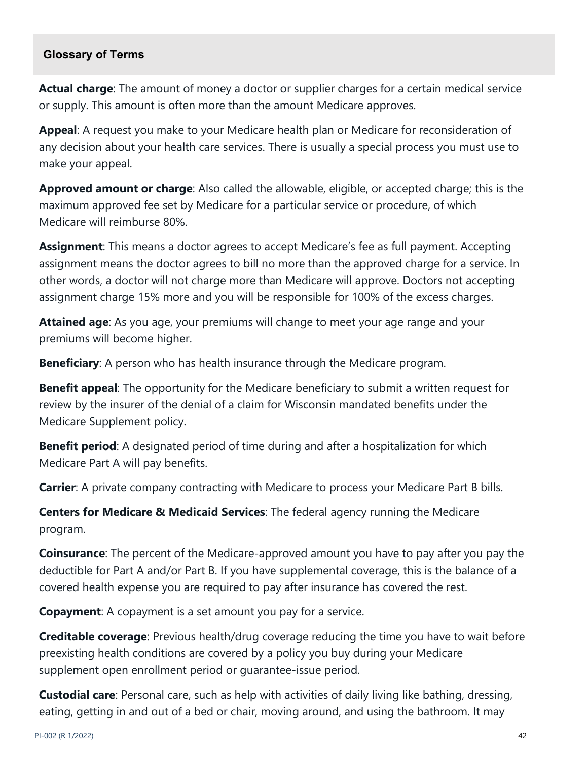#### **Glossary of Terms**

**Actual charge**: The amount of money a doctor or supplier charges for a certain medical service or supply. This amount is often more than the amount Medicare approves.

**Appeal**: A request you make to your Medicare health plan or Medicare for reconsideration of any decision about your health care services. There is usually a special process you must use to make your appeal.

**Approved amount or charge**: Also called the allowable, eligible, or accepted charge; this is the maximum approved fee set by Medicare for a particular service or procedure, of which Medicare will reimburse 80%.

**Assignment**: This means a doctor agrees to accept Medicare's fee as full payment. Accepting assignment means the doctor agrees to bill no more than the approved charge for a service. In other words, a doctor will not charge more than Medicare will approve. Doctors not accepting assignment charge 15% more and you will be responsible for 100% of the excess charges.

**Attained age**: As you age, your premiums will change to meet your age range and your premiums will become higher.

**Beneficiary**: A person who has health insurance through the Medicare program.

**Benefit appeal**: The opportunity for the Medicare beneficiary to submit a written request for review by the insurer of the denial of a claim for Wisconsin mandated benefits under the Medicare Supplement policy.

**Benefit period**: A designated period of time during and after a hospitalization for which Medicare Part A will pay benefits.

**Carrier**: A private company contracting with Medicare to process your Medicare Part B bills.

**Centers for Medicare & Medicaid Services**: The federal agency running the Medicare program.

**Coinsurance**: The percent of the Medicare-approved amount you have to pay after you pay the deductible for Part A and/or Part B. If you have supplemental coverage, this is the balance of a covered health expense you are required to pay after insurance has covered the rest.

**Copayment**: A copayment is a set amount you pay for a service.

**Creditable coverage**: Previous health/drug coverage reducing the time you have to wait before preexisting health conditions are covered by a policy you buy during your Medicare supplement open enrollment period or guarantee-issue period.

**Custodial care**: Personal care, such as help with activities of daily living like bathing, dressing, eating, getting in and out of a bed or chair, moving around, and using the bathroom. It may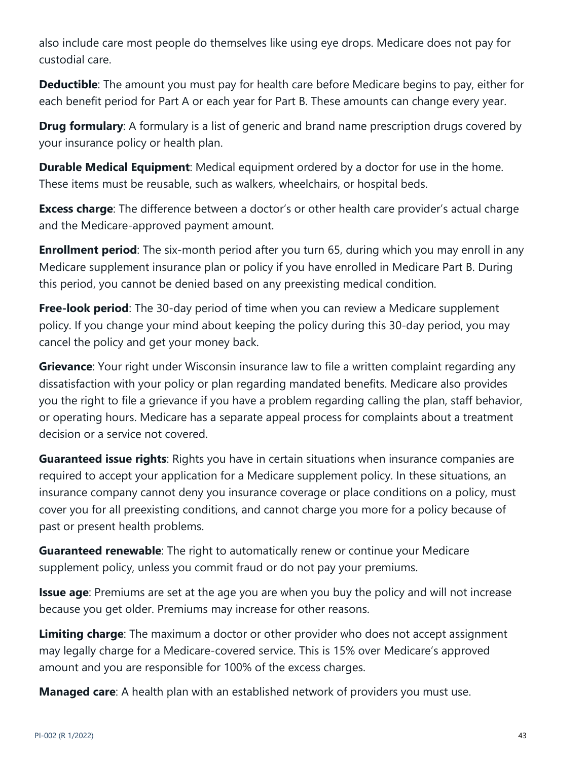also include care most people do themselves like using eye drops. Medicare does not pay for custodial care.

**Deductible**: The amount you must pay for health care before Medicare begins to pay, either for each benefit period for Part A or each year for Part B. These amounts can change every year.

**Drug formulary**: A formulary is a list of generic and brand name prescription drugs covered by your insurance policy or health plan.

**Durable Medical Equipment**: Medical equipment ordered by a doctor for use in the home. These items must be reusable, such as walkers, wheelchairs, or hospital beds.

**Excess charge**: The difference between a doctor's or other health care provider's actual charge and the Medicare-approved payment amount.

**Enrollment period**: The six-month period after you turn 65, during which you may enroll in any Medicare supplement insurance plan or policy if you have enrolled in Medicare Part B. During this period, you cannot be denied based on any preexisting medical condition.

**Free-look period**: The 30-day period of time when you can review a Medicare supplement policy. If you change your mind about keeping the policy during this 30-day period, you may cancel the policy and get your money back.

**Grievance**: Your right under Wisconsin insurance law to file a written complaint regarding any dissatisfaction with your policy or plan regarding mandated benefits. Medicare also provides you the right to file a grievance if you have a problem regarding calling the plan, staff behavior, or operating hours. Medicare has a separate appeal process for complaints about a treatment decision or a service not covered.

**Guaranteed issue rights**: Rights you have in certain situations when insurance companies are required to accept your application for a Medicare supplement policy. In these situations, an insurance company cannot deny you insurance coverage or place conditions on a policy, must cover you for all preexisting conditions, and cannot charge you more for a policy because of past or present health problems.

**Guaranteed renewable**: The right to automatically renew or continue your Medicare supplement policy, unless you commit fraud or do not pay your premiums.

**Issue age**: Premiums are set at the age you are when you buy the policy and will not increase because you get older. Premiums may increase for other reasons.

**Limiting charge**: The maximum a doctor or other provider who does not accept assignment may legally charge for a Medicare-covered service. This is 15% over Medicare's approved amount and you are responsible for 100% of the excess charges.

**Managed care**: A health plan with an established network of providers you must use.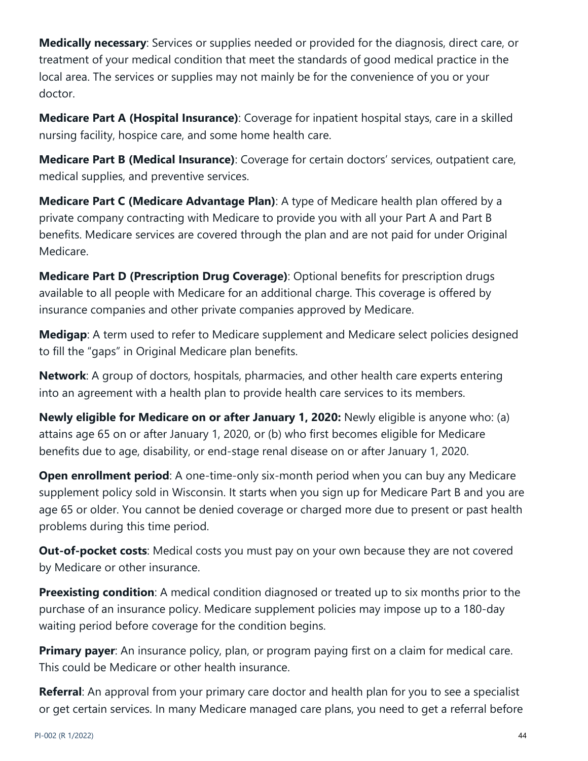**Medically necessary**: Services or supplies needed or provided for the diagnosis, direct care, or treatment of your medical condition that meet the standards of good medical practice in the local area. The services or supplies may not mainly be for the convenience of you or your doctor.

**Medicare Part A (Hospital Insurance)**: Coverage for inpatient hospital stays, care in a skilled nursing facility, hospice care, and some home health care.

**Medicare Part B (Medical Insurance)**: Coverage for certain doctors' services, outpatient care, medical supplies, and preventive services.

**Medicare Part C (Medicare Advantage Plan)**: A type of Medicare health plan offered by a private company contracting with Medicare to provide you with all your Part A and Part B benefits. Medicare services are covered through the plan and are not paid for under Original Medicare.

**Medicare Part D (Prescription Drug Coverage)**: Optional benefits for prescription drugs available to all people with Medicare for an additional charge. This coverage is offered by insurance companies and other private companies approved by Medicare.

**Medigap**: A term used to refer to Medicare supplement and Medicare select policies designed to fill the "gaps" in Original Medicare plan benefits.

**Network**: A group of doctors, hospitals, pharmacies, and other health care experts entering into an agreement with a health plan to provide health care services to its members.

**Newly eligible for Medicare on or after January 1, 2020:** Newly eligible is anyone who: (a) attains age 65 on or after January 1, 2020, or (b) who first becomes eligible for Medicare benefits due to age, disability, or end-stage renal disease on or after January 1, 2020.

**Open enrollment period**: A one-time-only six-month period when you can buy any Medicare supplement policy sold in Wisconsin. It starts when you sign up for Medicare Part B and you are age 65 or older. You cannot be denied coverage or charged more due to present or past health problems during this time period.

**Out-of-pocket costs:** Medical costs you must pay on your own because they are not covered by Medicare or other insurance.

**Preexisting condition**: A medical condition diagnosed or treated up to six months prior to the purchase of an insurance policy. Medicare supplement policies may impose up to a 180-day waiting period before coverage for the condition begins.

**Primary payer**: An insurance policy, plan, or program paying first on a claim for medical care. This could be Medicare or other health insurance.

**Referral**: An approval from your primary care doctor and health plan for you to see a specialist or get certain services. In many Medicare managed care plans, you need to get a referral before